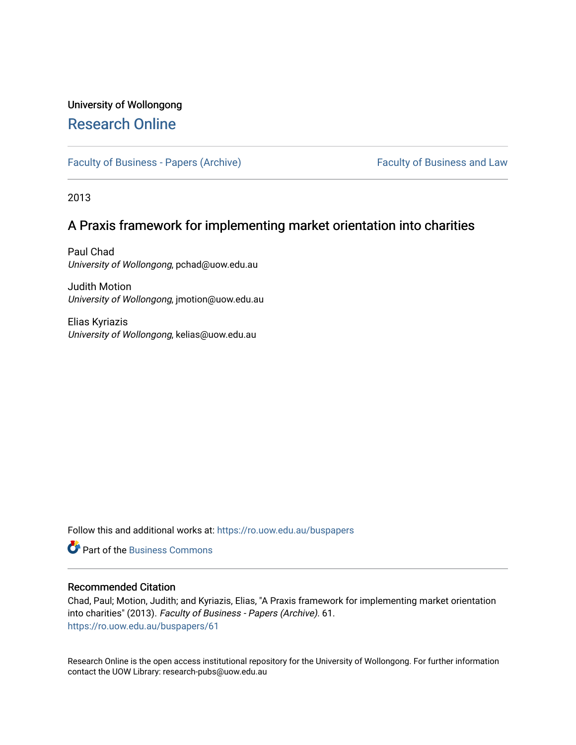# University of Wollongong [Research Online](https://ro.uow.edu.au/)

[Faculty of Business - Papers \(Archive\)](https://ro.uow.edu.au/buspapers) Faculty of Business and Law

2013

## A Praxis framework for implementing market orientation into charities

Paul Chad University of Wollongong, pchad@uow.edu.au

Judith Motion University of Wollongong, jmotion@uow.edu.au

Elias Kyriazis University of Wollongong, kelias@uow.edu.au

Follow this and additional works at: [https://ro.uow.edu.au/buspapers](https://ro.uow.edu.au/buspapers?utm_source=ro.uow.edu.au%2Fbuspapers%2F61&utm_medium=PDF&utm_campaign=PDFCoverPages) 

**C** Part of the [Business Commons](http://network.bepress.com/hgg/discipline/622?utm_source=ro.uow.edu.au%2Fbuspapers%2F61&utm_medium=PDF&utm_campaign=PDFCoverPages)

## Recommended Citation

Chad, Paul; Motion, Judith; and Kyriazis, Elias, "A Praxis framework for implementing market orientation into charities" (2013). Faculty of Business - Papers (Archive). 61. [https://ro.uow.edu.au/buspapers/61](https://ro.uow.edu.au/buspapers/61?utm_source=ro.uow.edu.au%2Fbuspapers%2F61&utm_medium=PDF&utm_campaign=PDFCoverPages) 

Research Online is the open access institutional repository for the University of Wollongong. For further information contact the UOW Library: research-pubs@uow.edu.au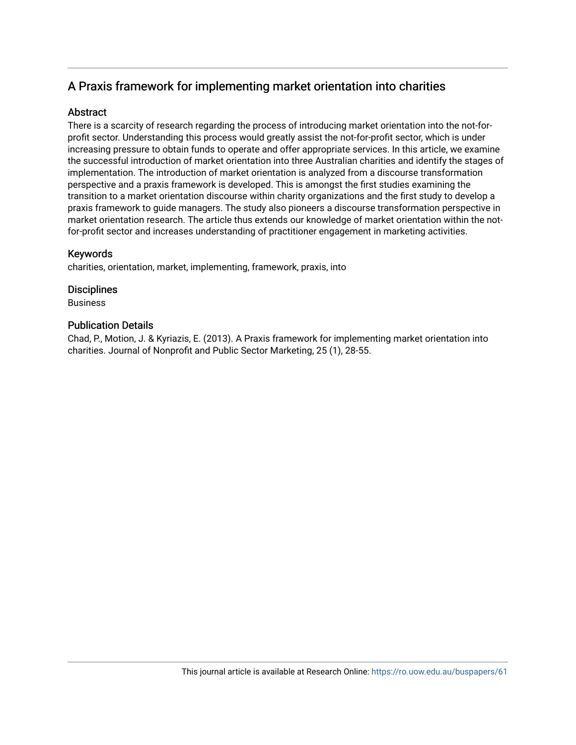## A Praxis framework for implementing market orientation into charities

## **Abstract**

There is a scarcity of research regarding the process of introducing market orientation into the not-forprofit sector. Understanding this process would greatly assist the not-for-profit sector, which is under increasing pressure to obtain funds to operate and offer appropriate services. In this article, we examine the successful introduction of market orientation into three Australian charities and identify the stages of implementation. The introduction of market orientation is analyzed from a discourse transformation perspective and a praxis framework is developed. This is amongst the first studies examining the transition to a market orientation discourse within charity organizations and the first study to develop a praxis framework to guide managers. The study also pioneers a discourse transformation perspective in market orientation research. The article thus extends our knowledge of market orientation within the notfor-profit sector and increases understanding of practitioner engagement in marketing activities.

## Keywords

charities, orientation, market, implementing, framework, praxis, into

## **Disciplines**

Business

## Publication Details

Chad, P., Motion, J. & Kyriazis, E. (2013). A Praxis framework for implementing market orientation into charities. Journal of Nonprofit and Public Sector Marketing, 25 (1), 28-55.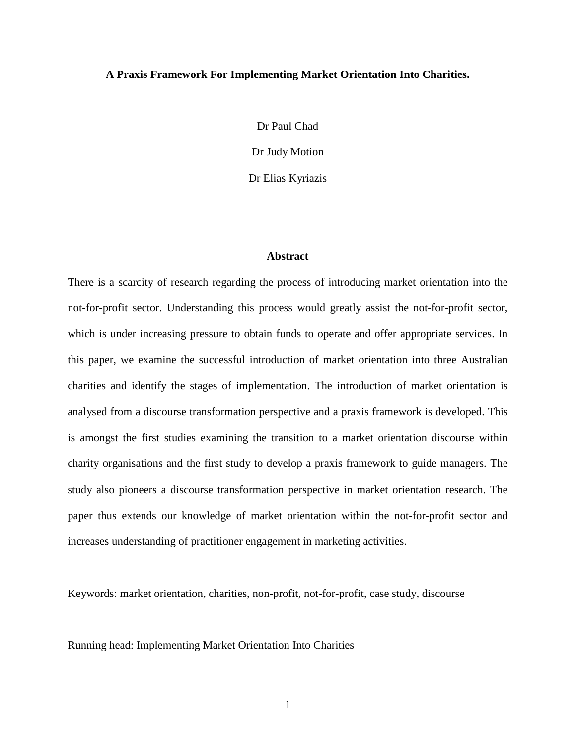#### **A Praxis Framework For Implementing Market Orientation Into Charities.**

Dr Paul Chad Dr Judy Motion Dr Elias Kyriazis

#### **Abstract**

There is a scarcity of research regarding the process of introducing market orientation into the not-for-profit sector. Understanding this process would greatly assist the not-for-profit sector, which is under increasing pressure to obtain funds to operate and offer appropriate services. In this paper, we examine the successful introduction of market orientation into three Australian charities and identify the stages of implementation. The introduction of market orientation is analysed from a discourse transformation perspective and a praxis framework is developed. This is amongst the first studies examining the transition to a market orientation discourse within charity organisations and the first study to develop a praxis framework to guide managers. The study also pioneers a discourse transformation perspective in market orientation research. The paper thus extends our knowledge of market orientation within the not-for-profit sector and increases understanding of practitioner engagement in marketing activities.

Keywords: market orientation, charities, non-profit, not-for-profit, case study, discourse

Running head: Implementing Market Orientation Into Charities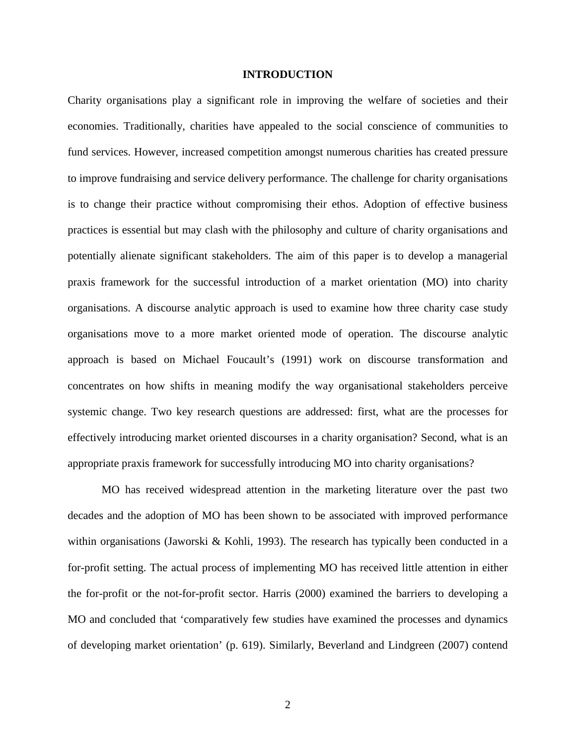### **INTRODUCTION**

Charity organisations play a significant role in improving the welfare of societies and their economies. Traditionally, charities have appealed to the social conscience of communities to fund services. However, increased competition amongst numerous charities has created pressure to improve fundraising and service delivery performance. The challenge for charity organisations is to change their practice without compromising their ethos. Adoption of effective business practices is essential but may clash with the philosophy and culture of charity organisations and potentially alienate significant stakeholders. The aim of this paper is to develop a managerial praxis framework for the successful introduction of a market orientation (MO) into charity organisations. A discourse analytic approach is used to examine how three charity case study organisations move to a more market oriented mode of operation. The discourse analytic approach is based on Michael Foucault's (1991) work on discourse transformation and concentrates on how shifts in meaning modify the way organisational stakeholders perceive systemic change. Two key research questions are addressed: first, what are the processes for effectively introducing market oriented discourses in a charity organisation? Second, what is an appropriate praxis framework for successfully introducing MO into charity organisations?

MO has received widespread attention in the marketing literature over the past two decades and the adoption of MO has been shown to be associated with improved performance within organisations (Jaworski & Kohli, 1993). The research has typically been conducted in a for-profit setting. The actual process of implementing MO has received little attention in either the for-profit or the not-for-profit sector. Harris (2000) examined the barriers to developing a MO and concluded that 'comparatively few studies have examined the processes and dynamics of developing market orientation' (p. 619). Similarly, Beverland and Lindgreen (2007) contend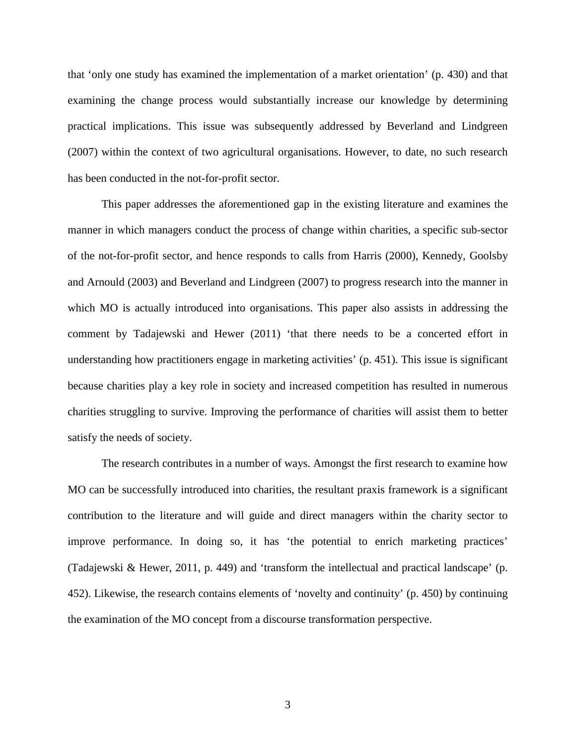that 'only one study has examined the implementation of a market orientation' (p. 430) and that examining the change process would substantially increase our knowledge by determining practical implications. This issue was subsequently addressed by Beverland and Lindgreen (2007) within the context of two agricultural organisations. However, to date, no such research has been conducted in the not-for-profit sector.

This paper addresses the aforementioned gap in the existing literature and examines the manner in which managers conduct the process of change within charities, a specific sub-sector of the not-for-profit sector, and hence responds to calls from Harris (2000), Kennedy, Goolsby and Arnould (2003) and Beverland and Lindgreen (2007) to progress research into the manner in which MO is actually introduced into organisations. This paper also assists in addressing the comment by Tadajewski and Hewer (2011) 'that there needs to be a concerted effort in understanding how practitioners engage in marketing activities' (p. 451). This issue is significant because charities play a key role in society and increased competition has resulted in numerous charities struggling to survive. Improving the performance of charities will assist them to better satisfy the needs of society.

The research contributes in a number of ways. Amongst the first research to examine how MO can be successfully introduced into charities, the resultant praxis framework is a significant contribution to the literature and will guide and direct managers within the charity sector to improve performance. In doing so, it has 'the potential to enrich marketing practices' (Tadajewski & Hewer, 2011, p. 449) and 'transform the intellectual and practical landscape' (p. 452). Likewise, the research contains elements of 'novelty and continuity' (p. 450) by continuing the examination of the MO concept from a discourse transformation perspective.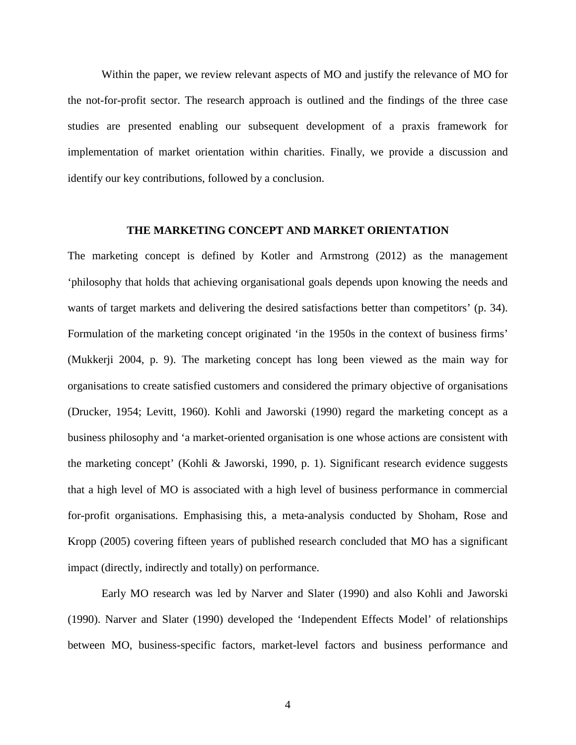Within the paper, we review relevant aspects of MO and justify the relevance of MO for the not-for-profit sector. The research approach is outlined and the findings of the three case studies are presented enabling our subsequent development of a praxis framework for implementation of market orientation within charities. Finally, we provide a discussion and identify our key contributions, followed by a conclusion.

### **THE MARKETING CONCEPT AND MARKET ORIENTATION**

The marketing concept is defined by Kotler and Armstrong (2012) as the management 'philosophy that holds that achieving organisational goals depends upon knowing the needs and wants of target markets and delivering the desired satisfactions better than competitors' (p. 34). Formulation of the marketing concept originated 'in the 1950s in the context of business firms' (Mukkerji 2004, p. 9). The marketing concept has long been viewed as the main way for organisations to create satisfied customers and considered the primary objective of organisations (Drucker, 1954; Levitt, 1960). Kohli and Jaworski (1990) regard the marketing concept as a business philosophy and 'a market-oriented organisation is one whose actions are consistent with the marketing concept' (Kohli & Jaworski, 1990, p. 1). Significant research evidence suggests that a high level of MO is associated with a high level of business performance in commercial for-profit organisations. Emphasising this, a meta-analysis conducted by Shoham, Rose and Kropp (2005) covering fifteen years of published research concluded that MO has a significant impact (directly, indirectly and totally) on performance.

Early MO research was led by Narver and Slater (1990) and also Kohli and Jaworski (1990). Narver and Slater (1990) developed the 'Independent Effects Model' of relationships between MO, business-specific factors, market-level factors and business performance and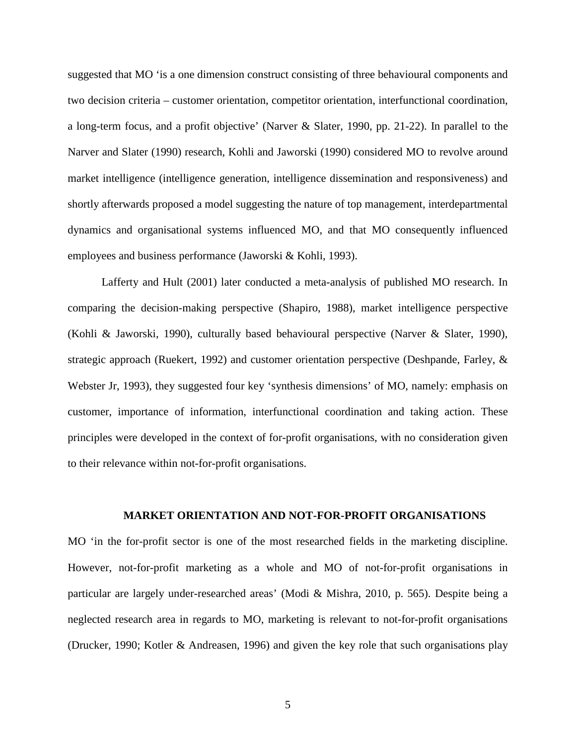suggested that MO 'is a one dimension construct consisting of three behavioural components and two decision criteria – customer orientation, competitor orientation, interfunctional coordination, a long-term focus, and a profit objective' (Narver & Slater, 1990, pp. 21-22). In parallel to the Narver and Slater (1990) research, Kohli and Jaworski (1990) considered MO to revolve around market intelligence (intelligence generation, intelligence dissemination and responsiveness) and shortly afterwards proposed a model suggesting the nature of top management, interdepartmental dynamics and organisational systems influenced MO, and that MO consequently influenced employees and business performance (Jaworski & Kohli, 1993).

Lafferty and Hult (2001) later conducted a meta-analysis of published MO research. In comparing the decision-making perspective (Shapiro, 1988), market intelligence perspective (Kohli & Jaworski, 1990), culturally based behavioural perspective (Narver & Slater, 1990), strategic approach (Ruekert, 1992) and customer orientation perspective (Deshpande, Farley, & Webster Jr, 1993), they suggested four key 'synthesis dimensions' of MO, namely: emphasis on customer, importance of information, interfunctional coordination and taking action. These principles were developed in the context of for-profit organisations, with no consideration given to their relevance within not-for-profit organisations.

## **MARKET ORIENTATION AND NOT-FOR-PROFIT ORGANISATIONS**

MO 'in the for-profit sector is one of the most researched fields in the marketing discipline. However, not-for-profit marketing as a whole and MO of not-for-profit organisations in particular are largely under-researched areas' (Modi & Mishra, 2010, p. 565). Despite being a neglected research area in regards to MO, marketing is relevant to not-for-profit organisations (Drucker, 1990; Kotler & Andreasen, 1996) and given the key role that such organisations play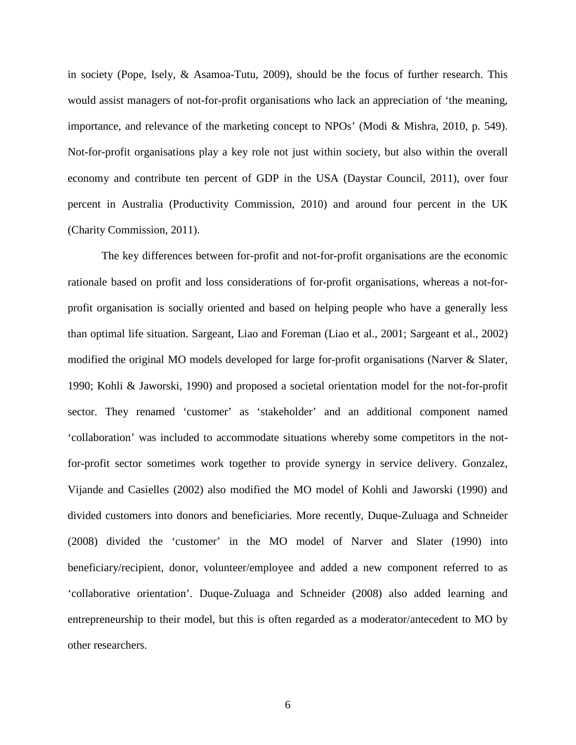in society (Pope, Isely, & Asamoa-Tutu, 2009), should be the focus of further research. This would assist managers of not-for-profit organisations who lack an appreciation of 'the meaning, importance, and relevance of the marketing concept to NPOs' (Modi & Mishra, 2010, p. 549). Not-for-profit organisations play a key role not just within society, but also within the overall economy and contribute ten percent of GDP in the USA (Daystar Council, 2011), over four percent in Australia (Productivity Commission, 2010) and around four percent in the UK (Charity Commission, 2011).

The key differences between for-profit and not-for-profit organisations are the economic rationale based on profit and loss considerations of for-profit organisations, whereas a not-forprofit organisation is socially oriented and based on helping people who have a generally less than optimal life situation. Sargeant, Liao and Foreman (Liao et al., 2001; Sargeant et al., 2002) modified the original MO models developed for large for-profit organisations (Narver & Slater, 1990; Kohli & Jaworski, 1990) and proposed a societal orientation model for the not-for-profit sector. They renamed 'customer' as 'stakeholder' and an additional component named 'collaboration' was included to accommodate situations whereby some competitors in the notfor-profit sector sometimes work together to provide synergy in service delivery. Gonzalez, Vijande and Casielles (2002) also modified the MO model of Kohli and Jaworski (1990) and divided customers into donors and beneficiaries. More recently, Duque-Zuluaga and Schneider (2008) divided the 'customer' in the MO model of Narver and Slater (1990) into beneficiary/recipient, donor, volunteer/employee and added a new component referred to as 'collaborative orientation'. Duque-Zuluaga and Schneider (2008) also added learning and entrepreneurship to their model, but this is often regarded as a moderator/antecedent to MO by other researchers.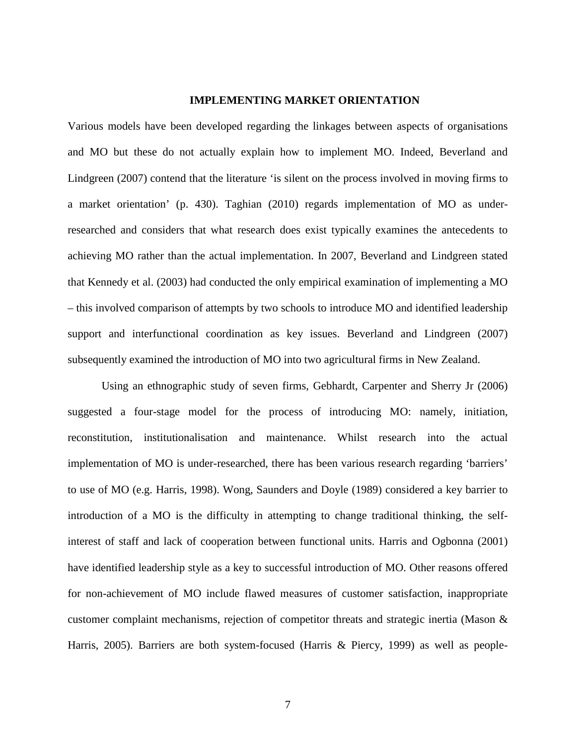## **IMPLEMENTING MARKET ORIENTATION**

Various models have been developed regarding the linkages between aspects of organisations and MO but these do not actually explain how to implement MO. Indeed, Beverland and Lindgreen (2007) contend that the literature 'is silent on the process involved in moving firms to a market orientation' (p. 430). Taghian (2010) regards implementation of MO as underresearched and considers that what research does exist typically examines the antecedents to achieving MO rather than the actual implementation. In 2007, Beverland and Lindgreen stated that Kennedy et al. (2003) had conducted the only empirical examination of implementing a MO – this involved comparison of attempts by two schools to introduce MO and identified leadership support and interfunctional coordination as key issues. Beverland and Lindgreen (2007) subsequently examined the introduction of MO into two agricultural firms in New Zealand.

Using an ethnographic study of seven firms, Gebhardt, Carpenter and Sherry Jr (2006) suggested a four-stage model for the process of introducing MO: namely, initiation, reconstitution, institutionalisation and maintenance. Whilst research into the actual implementation of MO is under-researched, there has been various research regarding 'barriers' to use of MO (e.g. Harris, 1998). Wong, Saunders and Doyle (1989) considered a key barrier to introduction of a MO is the difficulty in attempting to change traditional thinking, the selfinterest of staff and lack of cooperation between functional units. Harris and Ogbonna (2001) have identified leadership style as a key to successful introduction of MO. Other reasons offered for non-achievement of MO include flawed measures of customer satisfaction, inappropriate customer complaint mechanisms, rejection of competitor threats and strategic inertia (Mason & Harris, 2005). Barriers are both system-focused (Harris & Piercy, 1999) as well as people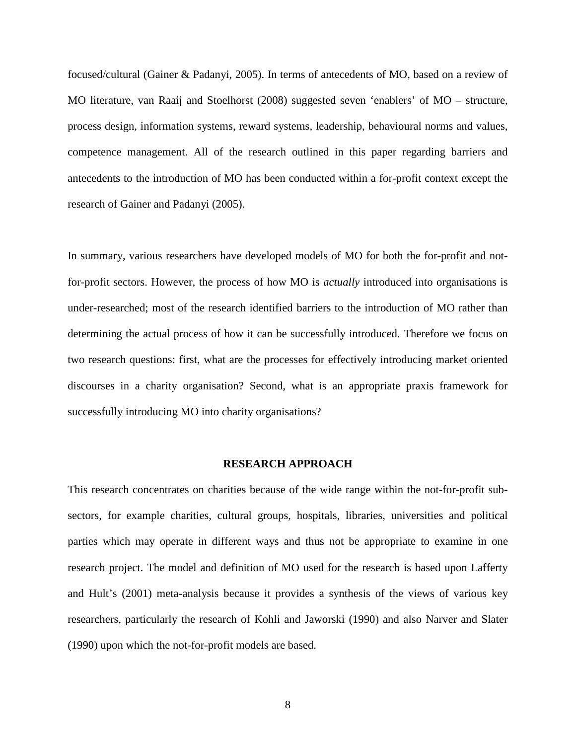focused/cultural (Gainer & Padanyi, 2005). In terms of antecedents of MO, based on a review of MO literature, van Raaij and Stoelhorst (2008) suggested seven 'enablers' of MO – structure, process design, information systems, reward systems, leadership, behavioural norms and values, competence management. All of the research outlined in this paper regarding barriers and antecedents to the introduction of MO has been conducted within a for-profit context except the research of Gainer and Padanyi (2005).

In summary, various researchers have developed models of MO for both the for-profit and notfor-profit sectors. However, the process of how MO is *actually* introduced into organisations is under-researched; most of the research identified barriers to the introduction of MO rather than determining the actual process of how it can be successfully introduced. Therefore we focus on two research questions: first, what are the processes for effectively introducing market oriented discourses in a charity organisation? Second, what is an appropriate praxis framework for successfully introducing MO into charity organisations?

### **RESEARCH APPROACH**

This research concentrates on charities because of the wide range within the not-for-profit subsectors, for example charities, cultural groups, hospitals, libraries, universities and political parties which may operate in different ways and thus not be appropriate to examine in one research project. The model and definition of MO used for the research is based upon Lafferty and Hult's (2001) meta-analysis because it provides a synthesis of the views of various key researchers, particularly the research of Kohli and Jaworski (1990) and also Narver and Slater (1990) upon which the not-for-profit models are based.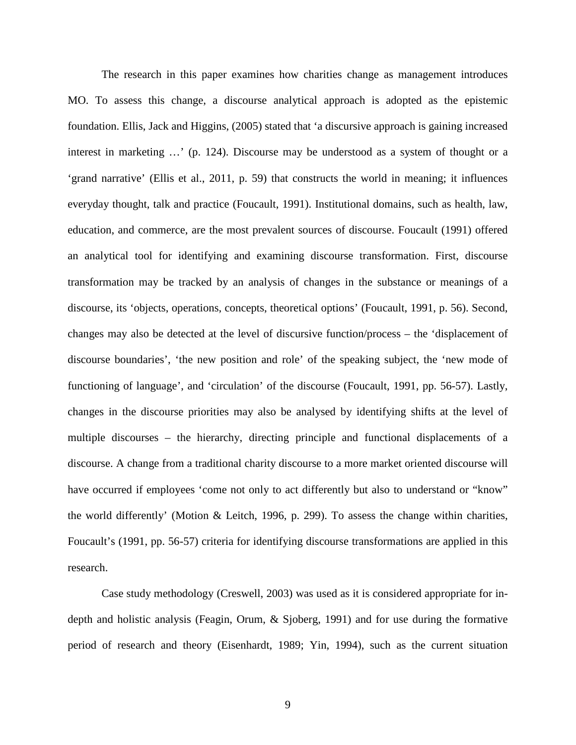The research in this paper examines how charities change as management introduces MO. To assess this change, a discourse analytical approach is adopted as the epistemic foundation. Ellis, Jack and Higgins, (2005) stated that 'a discursive approach is gaining increased interest in marketing …' (p. 124). Discourse may be understood as a system of thought or a 'grand narrative' (Ellis et al., 2011, p. 59) that constructs the world in meaning; it influences everyday thought, talk and practice (Foucault, 1991). Institutional domains, such as health, law, education, and commerce, are the most prevalent sources of discourse. Foucault (1991) offered an analytical tool for identifying and examining discourse transformation. First, discourse transformation may be tracked by an analysis of changes in the substance or meanings of a discourse, its 'objects, operations, concepts, theoretical options' (Foucault, 1991, p. 56). Second, changes may also be detected at the level of discursive function/process – the 'displacement of discourse boundaries', 'the new position and role' of the speaking subject, the 'new mode of functioning of language', and 'circulation' of the discourse (Foucault, 1991, pp. 56-57). Lastly, changes in the discourse priorities may also be analysed by identifying shifts at the level of multiple discourses – the hierarchy, directing principle and functional displacements of a discourse. A change from a traditional charity discourse to a more market oriented discourse will have occurred if employees 'come not only to act differently but also to understand or "know" the world differently' (Motion & Leitch, 1996, p. 299). To assess the change within charities, Foucault's (1991, pp. 56-57) criteria for identifying discourse transformations are applied in this research.

Case study methodology (Creswell, 2003) was used as it is considered appropriate for indepth and holistic analysis (Feagin, Orum, & Sjoberg, 1991) and for use during the formative period of research and theory (Eisenhardt, 1989; Yin, 1994), such as the current situation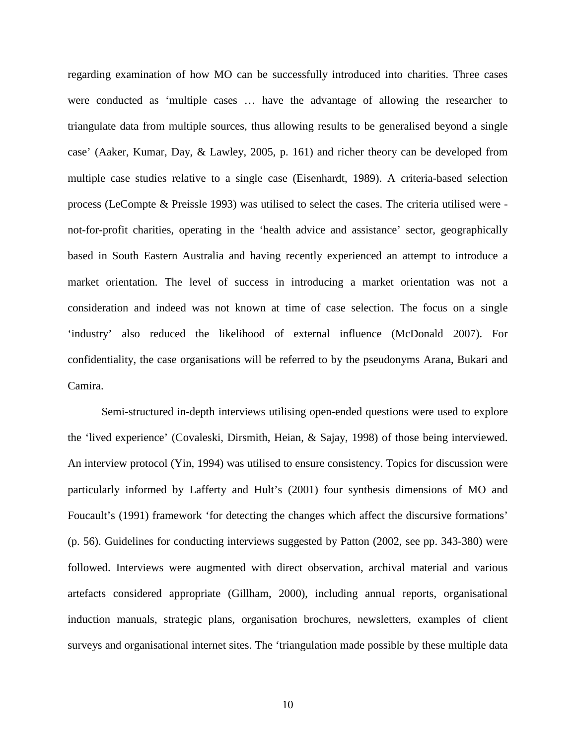regarding examination of how MO can be successfully introduced into charities. Three cases were conducted as 'multiple cases … have the advantage of allowing the researcher to triangulate data from multiple sources, thus allowing results to be generalised beyond a single case' (Aaker, Kumar, Day, & Lawley, 2005, p. 161) and richer theory can be developed from multiple case studies relative to a single case (Eisenhardt, 1989). A criteria-based selection process (LeCompte & Preissle 1993) was utilised to select the cases. The criteria utilised were not-for-profit charities, operating in the 'health advice and assistance' sector, geographically based in South Eastern Australia and having recently experienced an attempt to introduce a market orientation. The level of success in introducing a market orientation was not a consideration and indeed was not known at time of case selection. The focus on a single 'industry' also reduced the likelihood of external influence (McDonald 2007). For confidentiality, the case organisations will be referred to by the pseudonyms Arana, Bukari and Camira.

Semi-structured in-depth interviews utilising open-ended questions were used to explore the 'lived experience' (Covaleski, Dirsmith, Heian, & Sajay, 1998) of those being interviewed. An interview protocol (Yin, 1994) was utilised to ensure consistency. Topics for discussion were particularly informed by Lafferty and Hult's (2001) four synthesis dimensions of MO and Foucault's (1991) framework 'for detecting the changes which affect the discursive formations' (p. 56). Guidelines for conducting interviews suggested by Patton (2002, see pp. 343-380) were followed. Interviews were augmented with direct observation, archival material and various artefacts considered appropriate (Gillham, 2000), including annual reports, organisational induction manuals, strategic plans, organisation brochures, newsletters, examples of client surveys and organisational internet sites. The 'triangulation made possible by these multiple data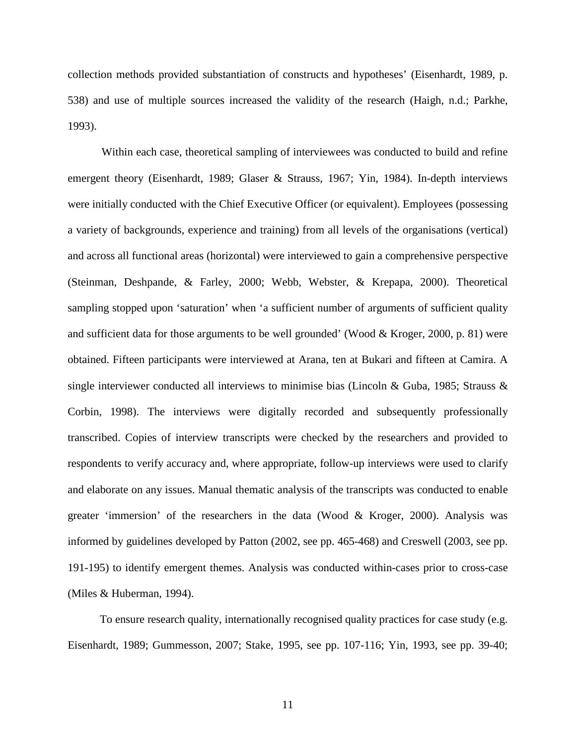collection methods provided substantiation of constructs and hypotheses' (Eisenhardt, 1989, p. 538) and use of multiple sources increased the validity of the research (Haigh, n.d.; Parkhe, 1993).

Within each case, theoretical sampling of interviewees was conducted to build and refine emergent theory (Eisenhardt, 1989; Glaser & Strauss, 1967; Yin, 1984). In-depth interviews were initially conducted with the Chief Executive Officer (or equivalent). Employees (possessing a variety of backgrounds, experience and training) from all levels of the organisations (vertical) and across all functional areas (horizontal) were interviewed to gain a comprehensive perspective (Steinman, Deshpande, & Farley, 2000; Webb, Webster, & Krepapa, 2000). Theoretical sampling stopped upon 'saturation' when 'a sufficient number of arguments of sufficient quality and sufficient data for those arguments to be well grounded' (Wood  $&$  Kroger, 2000, p. 81) were obtained. Fifteen participants were interviewed at Arana, ten at Bukari and fifteen at Camira. A single interviewer conducted all interviews to minimise bias (Lincoln & Guba, 1985; Strauss & Corbin, 1998). The interviews were digitally recorded and subsequently professionally transcribed. Copies of interview transcripts were checked by the researchers and provided to respondents to verify accuracy and, where appropriate, follow-up interviews were used to clarify and elaborate on any issues. Manual thematic analysis of the transcripts was conducted to enable greater 'immersion' of the researchers in the data (Wood & Kroger, 2000). Analysis was informed by guidelines developed by Patton (2002, see pp. 465-468) and Creswell (2003, see pp. 191-195) to identify emergent themes. Analysis was conducted within-cases prior to cross-case (Miles & Huberman, 1994).

To ensure research quality, internationally recognised quality practices for case study (e.g. Eisenhardt, 1989; Gummesson, 2007; Stake, 1995, see pp. 107-116; Yin, 1993, see pp. 39-40;

11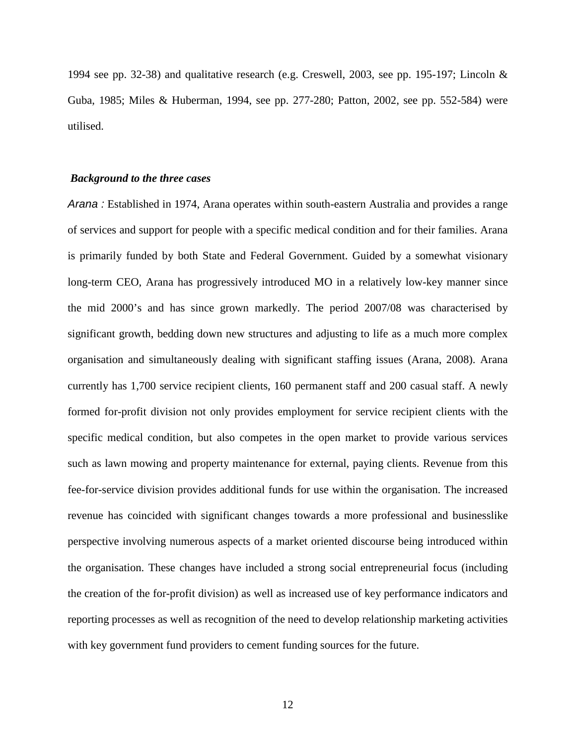1994 see pp. 32-38) and qualitative research (e.g. Creswell, 2003, see pp. 195-197; Lincoln  $\&$ Guba, 1985; Miles & Huberman, 1994, see pp. 277-280; Patton, 2002, see pp. 552-584) were utilised.

#### *Background to the three cases*

*Arana :* Established in 1974, Arana operates within south-eastern Australia and provides a range of services and support for people with a specific medical condition and for their families. Arana is primarily funded by both State and Federal Government. Guided by a somewhat visionary long-term CEO, Arana has progressively introduced MO in a relatively low-key manner since the mid 2000's and has since grown markedly. The period 2007/08 was characterised by significant growth, bedding down new structures and adjusting to life as a much more complex organisation and simultaneously dealing with significant staffing issues (Arana, 2008). Arana currently has 1,700 service recipient clients, 160 permanent staff and 200 casual staff. A newly formed for-profit division not only provides employment for service recipient clients with the specific medical condition, but also competes in the open market to provide various services such as lawn mowing and property maintenance for external, paying clients. Revenue from this fee-for-service division provides additional funds for use within the organisation. The increased revenue has coincided with significant changes towards a more professional and businesslike perspective involving numerous aspects of a market oriented discourse being introduced within the organisation. These changes have included a strong social entrepreneurial focus (including the creation of the for-profit division) as well as increased use of key performance indicators and reporting processes as well as recognition of the need to develop relationship marketing activities with key government fund providers to cement funding sources for the future.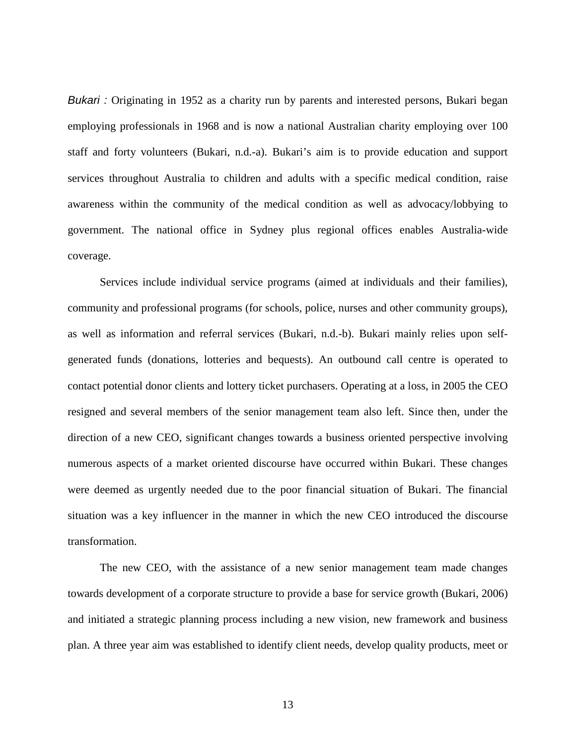*Bukari :* Originating in 1952 as a charity run by parents and interested persons, Bukari began employing professionals in 1968 and is now a national Australian charity employing over 100 staff and forty volunteers (Bukari, n.d.-a). Bukari's aim is to provide education and support services throughout Australia to children and adults with a specific medical condition, raise awareness within the community of the medical condition as well as advocacy/lobbying to government. The national office in Sydney plus regional offices enables Australia-wide coverage.

Services include individual service programs (aimed at individuals and their families), community and professional programs (for schools, police, nurses and other community groups), as well as information and referral services (Bukari, n.d.-b). Bukari mainly relies upon selfgenerated funds (donations, lotteries and bequests). An outbound call centre is operated to contact potential donor clients and lottery ticket purchasers. Operating at a loss, in 2005 the CEO resigned and several members of the senior management team also left. Since then, under the direction of a new CEO, significant changes towards a business oriented perspective involving numerous aspects of a market oriented discourse have occurred within Bukari. These changes were deemed as urgently needed due to the poor financial situation of Bukari. The financial situation was a key influencer in the manner in which the new CEO introduced the discourse transformation.

The new CEO, with the assistance of a new senior management team made changes towards development of a corporate structure to provide a base for service growth (Bukari, 2006) and initiated a strategic planning process including a new vision, new framework and business plan. A three year aim was established to identify client needs, develop quality products, meet or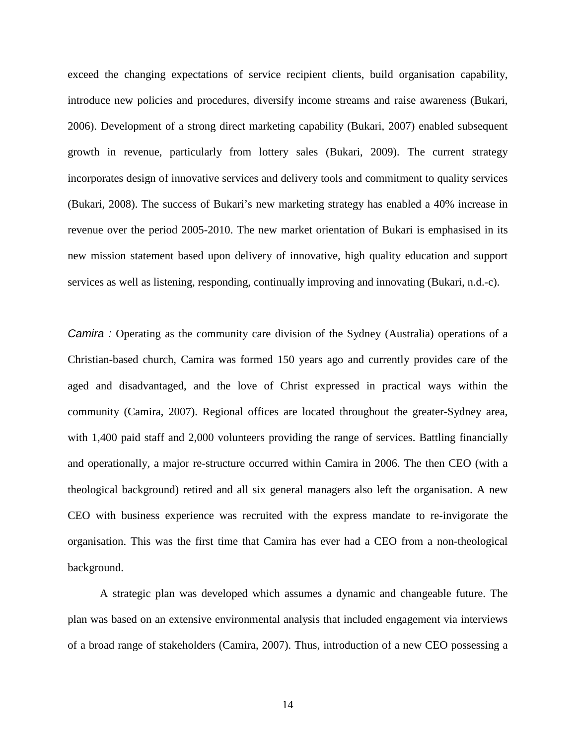exceed the changing expectations of service recipient clients, build organisation capability, introduce new policies and procedures, diversify income streams and raise awareness (Bukari, 2006). Development of a strong direct marketing capability (Bukari, 2007) enabled subsequent growth in revenue, particularly from lottery sales (Bukari, 2009). The current strategy incorporates design of innovative services and delivery tools and commitment to quality services (Bukari, 2008). The success of Bukari's new marketing strategy has enabled a 40% increase in revenue over the period 2005-2010. The new market orientation of Bukari is emphasised in its new mission statement based upon delivery of innovative, high quality education and support services as well as listening, responding, continually improving and innovating (Bukari, n.d.-c).

*Camira :* Operating as the community care division of the Sydney (Australia) operations of a Christian-based church, Camira was formed 150 years ago and currently provides care of the aged and disadvantaged, and the love of Christ expressed in practical ways within the community (Camira, 2007). Regional offices are located throughout the greater-Sydney area, with 1,400 paid staff and 2,000 volunteers providing the range of services. Battling financially and operationally, a major re-structure occurred within Camira in 2006. The then CEO (with a theological background) retired and all six general managers also left the organisation. A new CEO with business experience was recruited with the express mandate to re-invigorate the organisation. This was the first time that Camira has ever had a CEO from a non-theological background.

A strategic plan was developed which assumes a dynamic and changeable future. The plan was based on an extensive environmental analysis that included engagement via interviews of a broad range of stakeholders (Camira, 2007). Thus, introduction of a new CEO possessing a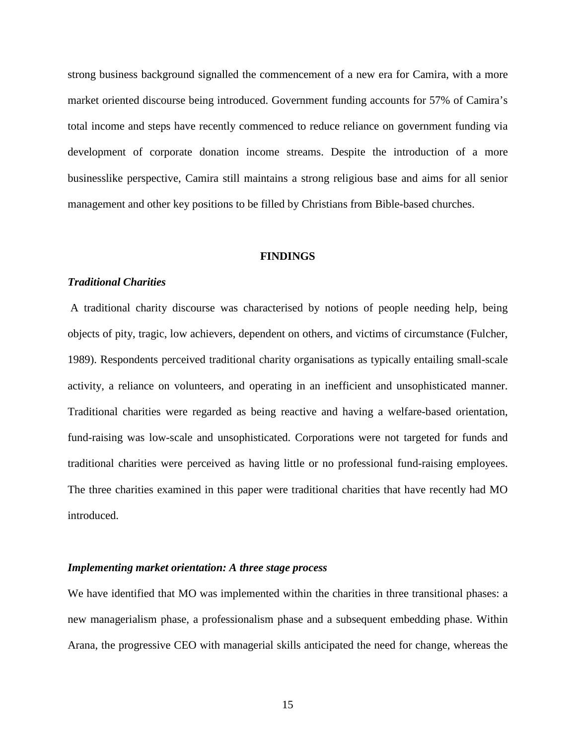strong business background signalled the commencement of a new era for Camira, with a more market oriented discourse being introduced. Government funding accounts for 57% of Camira's total income and steps have recently commenced to reduce reliance on government funding via development of corporate donation income streams. Despite the introduction of a more businesslike perspective, Camira still maintains a strong religious base and aims for all senior management and other key positions to be filled by Christians from Bible-based churches.

#### **FINDINGS**

## *Traditional Charities*

A traditional charity discourse was characterised by notions of people needing help, being objects of pity, tragic, low achievers, dependent on others, and victims of circumstance (Fulcher, 1989). Respondents perceived traditional charity organisations as typically entailing small-scale activity, a reliance on volunteers, and operating in an inefficient and unsophisticated manner. Traditional charities were regarded as being reactive and having a welfare-based orientation, fund-raising was low-scale and unsophisticated. Corporations were not targeted for funds and traditional charities were perceived as having little or no professional fund-raising employees. The three charities examined in this paper were traditional charities that have recently had MO introduced.

#### *Implementing market orientation: A three stage process*

We have identified that MO was implemented within the charities in three transitional phases: a new managerialism phase, a professionalism phase and a subsequent embedding phase. Within Arana, the progressive CEO with managerial skills anticipated the need for change, whereas the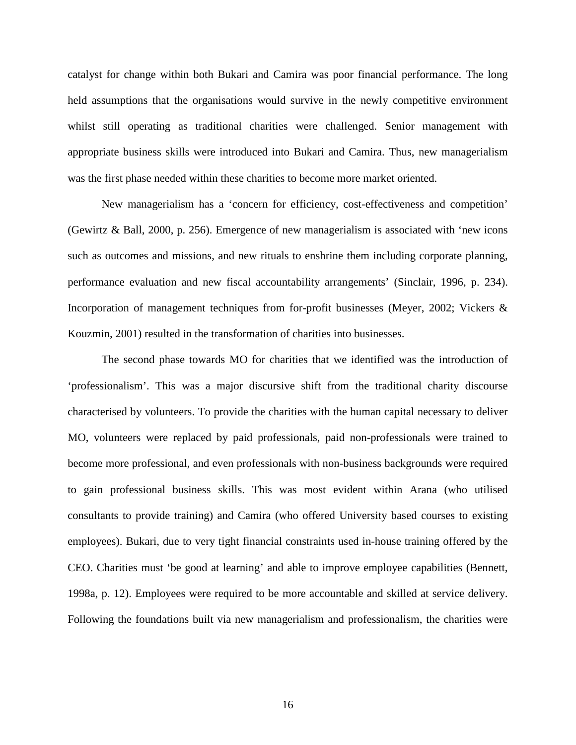catalyst for change within both Bukari and Camira was poor financial performance. The long held assumptions that the organisations would survive in the newly competitive environment whilst still operating as traditional charities were challenged. Senior management with appropriate business skills were introduced into Bukari and Camira. Thus, new managerialism was the first phase needed within these charities to become more market oriented.

New managerialism has a 'concern for efficiency, cost-effectiveness and competition' (Gewirtz & Ball, 2000, p. 256). Emergence of new managerialism is associated with 'new icons such as outcomes and missions, and new rituals to enshrine them including corporate planning, performance evaluation and new fiscal accountability arrangements' (Sinclair, 1996, p. 234). Incorporation of management techniques from for-profit businesses (Meyer, 2002; Vickers & Kouzmin, 2001) resulted in the transformation of charities into businesses.

The second phase towards MO for charities that we identified was the introduction of 'professionalism'. This was a major discursive shift from the traditional charity discourse characterised by volunteers. To provide the charities with the human capital necessary to deliver MO, volunteers were replaced by paid professionals, paid non-professionals were trained to become more professional, and even professionals with non-business backgrounds were required to gain professional business skills. This was most evident within Arana (who utilised consultants to provide training) and Camira (who offered University based courses to existing employees). Bukari, due to very tight financial constraints used in-house training offered by the CEO. Charities must 'be good at learning' and able to improve employee capabilities (Bennett, 1998a, p. 12). Employees were required to be more accountable and skilled at service delivery. Following the foundations built via new managerialism and professionalism, the charities were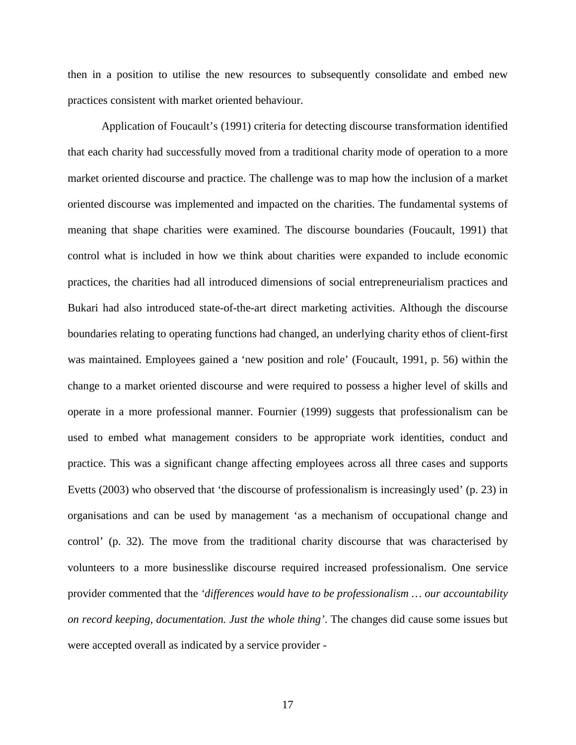then in a position to utilise the new resources to subsequently consolidate and embed new practices consistent with market oriented behaviour.

Application of Foucault's (1991) criteria for detecting discourse transformation identified that each charity had successfully moved from a traditional charity mode of operation to a more market oriented discourse and practice. The challenge was to map how the inclusion of a market oriented discourse was implemented and impacted on the charities. The fundamental systems of meaning that shape charities were examined. The discourse boundaries (Foucault, 1991) that control what is included in how we think about charities were expanded to include economic practices, the charities had all introduced dimensions of social entrepreneurialism practices and Bukari had also introduced state-of-the-art direct marketing activities. Although the discourse boundaries relating to operating functions had changed, an underlying charity ethos of client-first was maintained. Employees gained a 'new position and role' (Foucault, 1991, p. 56) within the change to a market oriented discourse and were required to possess a higher level of skills and operate in a more professional manner. Fournier (1999) suggests that professionalism can be used to embed what management considers to be appropriate work identities, conduct and practice. This was a significant change affecting employees across all three cases and supports Evetts (2003) who observed that 'the discourse of professionalism is increasingly used' (p. 23) in organisations and can be used by management 'as a mechanism of occupational change and control' (p. 32). The move from the traditional charity discourse that was characterised by volunteers to a more businesslike discourse required increased professionalism. One service provider commented that the *'differences would have to be professionalism … our accountability on record keeping, documentation. Just the whole thing'*. The changes did cause some issues but were accepted overall as indicated by a service provider -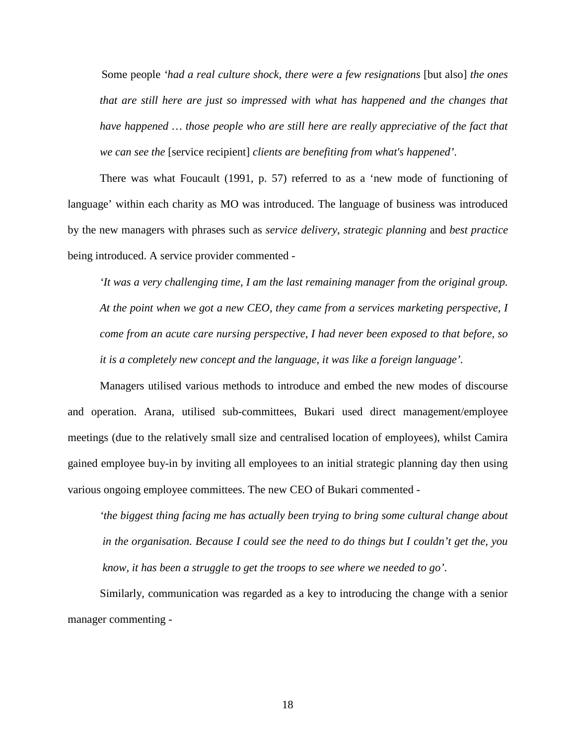Some people *'had a real culture shock, there were a few resignations* [but also] *the ones that are still here are just so impressed with what has happened and the changes that have happened … those people who are still here are really appreciative of the fact that we can see the* [service recipient] *clients are benefiting from what's happened'*.

There was what Foucault (1991, p. 57) referred to as a 'new mode of functioning of language' within each charity as MO was introduced. The language of business was introduced by the new managers with phrases such as *service delivery*, *strategic planning* and *best practice* being introduced. A service provider commented -

*'It was a very challenging time, I am the last remaining manager from the original group. At the point when we got a new CEO, they came from a services marketing perspective, I come from an acute care nursing perspective, I had never been exposed to that before, so it is a completely new concept and the language, it was like a foreign language'.*

Managers utilised various methods to introduce and embed the new modes of discourse and operation. Arana, utilised sub-committees, Bukari used direct management/employee meetings (due to the relatively small size and centralised location of employees), whilst Camira gained employee buy-in by inviting all employees to an initial strategic planning day then using various ongoing employee committees. The new CEO of Bukari commented -

*'the biggest thing facing me has actually been trying to bring some cultural change about in the organisation. Because I could see the need to do things but I couldn't get the, you know, it has been a struggle to get the troops to see where we needed to go'.*

Similarly, communication was regarded as a key to introducing the change with a senior manager commenting -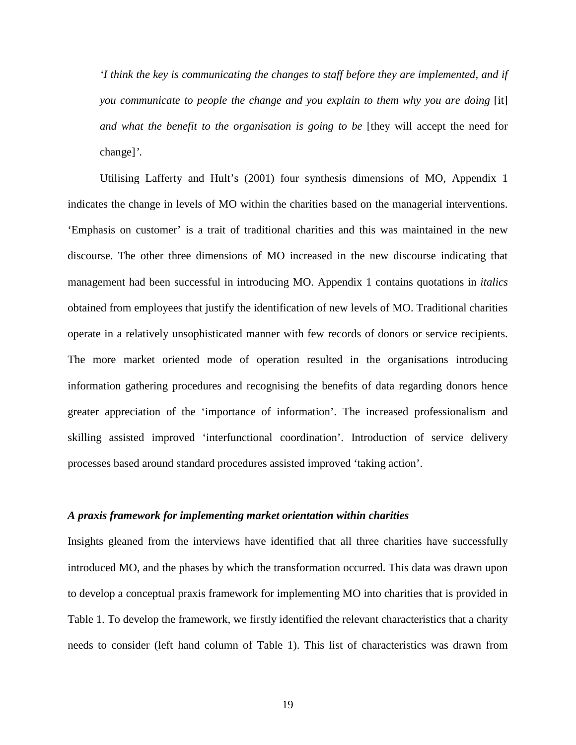*'I think the key is communicating the changes to staff before they are implemented, and if you communicate to people the change and you explain to them why you are doing* [it] *and what the benefit to the organisation is going to be* [they will accept the need for change]*'*.

Utilising Lafferty and Hult's (2001) four synthesis dimensions of MO, Appendix 1 indicates the change in levels of MO within the charities based on the managerial interventions. 'Emphasis on customer' is a trait of traditional charities and this was maintained in the new discourse. The other three dimensions of MO increased in the new discourse indicating that management had been successful in introducing MO. Appendix 1 contains quotations in *italics*  obtained from employees that justify the identification of new levels of MO. Traditional charities operate in a relatively unsophisticated manner with few records of donors or service recipients. The more market oriented mode of operation resulted in the organisations introducing information gathering procedures and recognising the benefits of data regarding donors hence greater appreciation of the 'importance of information'. The increased professionalism and skilling assisted improved 'interfunctional coordination'. Introduction of service delivery processes based around standard procedures assisted improved 'taking action'.

#### *A praxis framework for implementing market orientation within charities*

Insights gleaned from the interviews have identified that all three charities have successfully introduced MO, and the phases by which the transformation occurred. This data was drawn upon to develop a conceptual praxis framework for implementing MO into charities that is provided in Table 1. To develop the framework, we firstly identified the relevant characteristics that a charity needs to consider (left hand column of Table 1). This list of characteristics was drawn from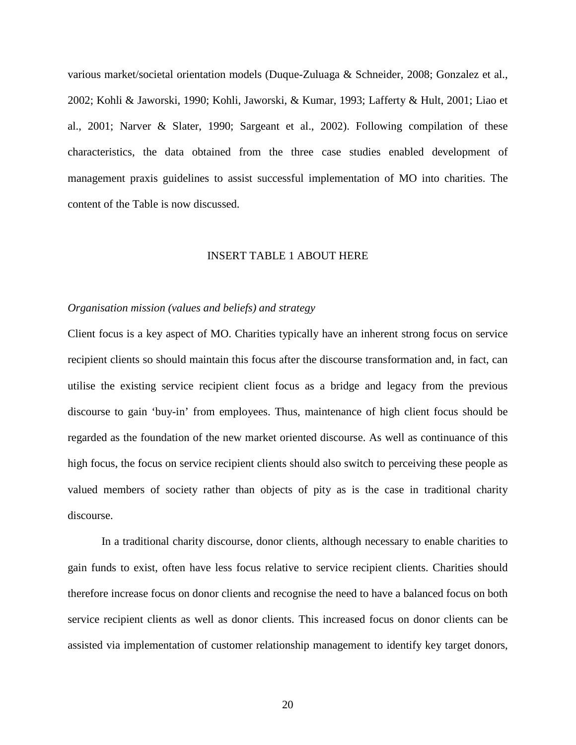various market/societal orientation models (Duque-Zuluaga & Schneider, 2008; Gonzalez et al., 2002; Kohli & Jaworski, 1990; Kohli, Jaworski, & Kumar, 1993; Lafferty & Hult, 2001; Liao et al., 2001; Narver & Slater, 1990; Sargeant et al., 2002). Following compilation of these characteristics, the data obtained from the three case studies enabled development of management praxis guidelines to assist successful implementation of MO into charities. The content of the Table is now discussed.

#### INSERT TABLE 1 ABOUT HERE

#### *Organisation mission (values and beliefs) and strategy*

Client focus is a key aspect of MO. Charities typically have an inherent strong focus on service recipient clients so should maintain this focus after the discourse transformation and, in fact, can utilise the existing service recipient client focus as a bridge and legacy from the previous discourse to gain 'buy-in' from employees. Thus, maintenance of high client focus should be regarded as the foundation of the new market oriented discourse. As well as continuance of this high focus, the focus on service recipient clients should also switch to perceiving these people as valued members of society rather than objects of pity as is the case in traditional charity discourse.

In a traditional charity discourse, donor clients, although necessary to enable charities to gain funds to exist, often have less focus relative to service recipient clients. Charities should therefore increase focus on donor clients and recognise the need to have a balanced focus on both service recipient clients as well as donor clients. This increased focus on donor clients can be assisted via implementation of customer relationship management to identify key target donors,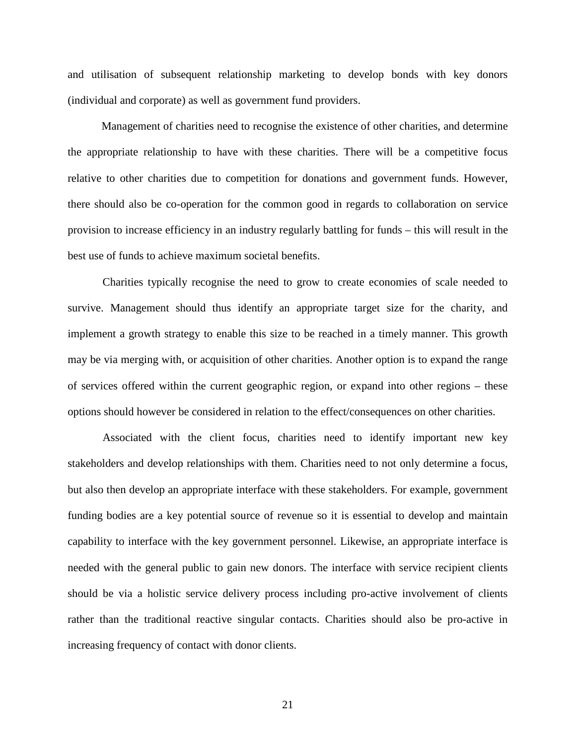and utilisation of subsequent relationship marketing to develop bonds with key donors (individual and corporate) as well as government fund providers.

Management of charities need to recognise the existence of other charities, and determine the appropriate relationship to have with these charities. There will be a competitive focus relative to other charities due to competition for donations and government funds. However, there should also be co-operation for the common good in regards to collaboration on service provision to increase efficiency in an industry regularly battling for funds – this will result in the best use of funds to achieve maximum societal benefits.

Charities typically recognise the need to grow to create economies of scale needed to survive. Management should thus identify an appropriate target size for the charity, and implement a growth strategy to enable this size to be reached in a timely manner. This growth may be via merging with, or acquisition of other charities. Another option is to expand the range of services offered within the current geographic region, or expand into other regions – these options should however be considered in relation to the effect/consequences on other charities.

Associated with the client focus, charities need to identify important new key stakeholders and develop relationships with them. Charities need to not only determine a focus, but also then develop an appropriate interface with these stakeholders. For example, government funding bodies are a key potential source of revenue so it is essential to develop and maintain capability to interface with the key government personnel. Likewise, an appropriate interface is needed with the general public to gain new donors. The interface with service recipient clients should be via a holistic service delivery process including pro-active involvement of clients rather than the traditional reactive singular contacts. Charities should also be pro-active in increasing frequency of contact with donor clients.

21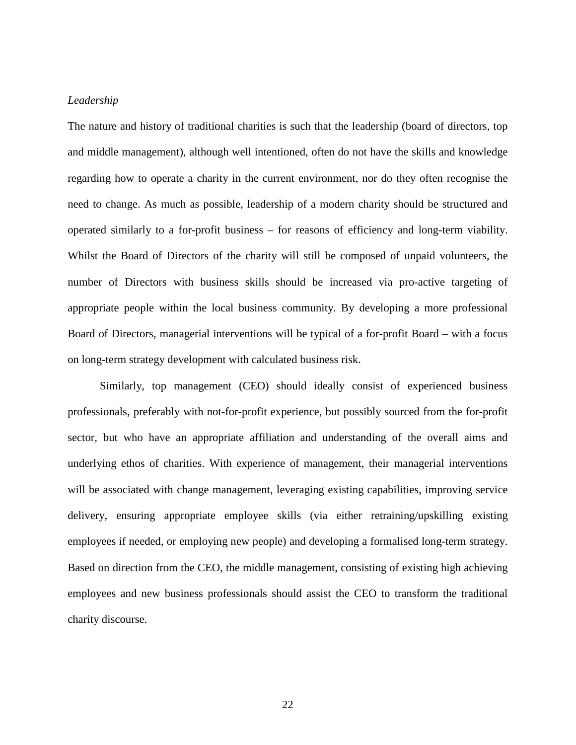## *Leadership*

The nature and history of traditional charities is such that the leadership (board of directors, top and middle management), although well intentioned, often do not have the skills and knowledge regarding how to operate a charity in the current environment, nor do they often recognise the need to change. As much as possible, leadership of a modern charity should be structured and operated similarly to a for-profit business – for reasons of efficiency and long-term viability. Whilst the Board of Directors of the charity will still be composed of unpaid volunteers, the number of Directors with business skills should be increased via pro-active targeting of appropriate people within the local business community. By developing a more professional Board of Directors, managerial interventions will be typical of a for-profit Board – with a focus on long-term strategy development with calculated business risk.

Similarly, top management (CEO) should ideally consist of experienced business professionals, preferably with not-for-profit experience, but possibly sourced from the for-profit sector, but who have an appropriate affiliation and understanding of the overall aims and underlying ethos of charities. With experience of management, their managerial interventions will be associated with change management, leveraging existing capabilities, improving service delivery, ensuring appropriate employee skills (via either retraining/upskilling existing employees if needed, or employing new people) and developing a formalised long-term strategy. Based on direction from the CEO, the middle management, consisting of existing high achieving employees and new business professionals should assist the CEO to transform the traditional charity discourse.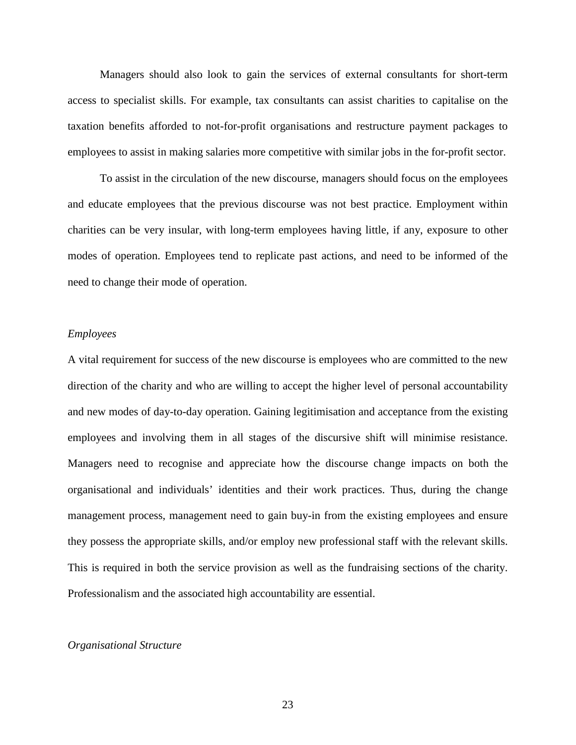Managers should also look to gain the services of external consultants for short-term access to specialist skills. For example, tax consultants can assist charities to capitalise on the taxation benefits afforded to not-for-profit organisations and restructure payment packages to employees to assist in making salaries more competitive with similar jobs in the for-profit sector.

To assist in the circulation of the new discourse, managers should focus on the employees and educate employees that the previous discourse was not best practice. Employment within charities can be very insular, with long-term employees having little, if any, exposure to other modes of operation. Employees tend to replicate past actions, and need to be informed of the need to change their mode of operation.

#### *Employees*

A vital requirement for success of the new discourse is employees who are committed to the new direction of the charity and who are willing to accept the higher level of personal accountability and new modes of day-to-day operation. Gaining legitimisation and acceptance from the existing employees and involving them in all stages of the discursive shift will minimise resistance. Managers need to recognise and appreciate how the discourse change impacts on both the organisational and individuals' identities and their work practices. Thus, during the change management process, management need to gain buy-in from the existing employees and ensure they possess the appropriate skills, and/or employ new professional staff with the relevant skills. This is required in both the service provision as well as the fundraising sections of the charity. Professionalism and the associated high accountability are essential.

## *Organisational Structure*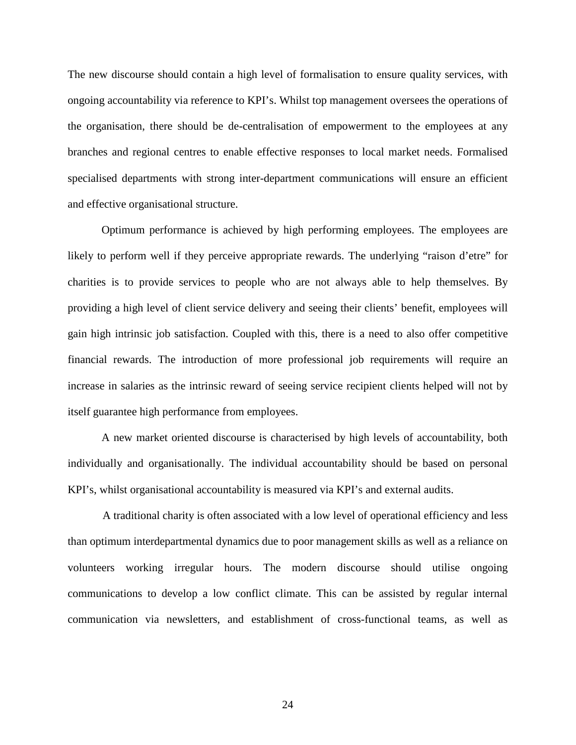The new discourse should contain a high level of formalisation to ensure quality services, with ongoing accountability via reference to KPI's. Whilst top management oversees the operations of the organisation, there should be de-centralisation of empowerment to the employees at any branches and regional centres to enable effective responses to local market needs. Formalised specialised departments with strong inter-department communications will ensure an efficient and effective organisational structure.

Optimum performance is achieved by high performing employees. The employees are likely to perform well if they perceive appropriate rewards. The underlying "raison d'etre" for charities is to provide services to people who are not always able to help themselves. By providing a high level of client service delivery and seeing their clients' benefit, employees will gain high intrinsic job satisfaction. Coupled with this, there is a need to also offer competitive financial rewards. The introduction of more professional job requirements will require an increase in salaries as the intrinsic reward of seeing service recipient clients helped will not by itself guarantee high performance from employees.

A new market oriented discourse is characterised by high levels of accountability, both individually and organisationally. The individual accountability should be based on personal KPI's, whilst organisational accountability is measured via KPI's and external audits.

A traditional charity is often associated with a low level of operational efficiency and less than optimum interdepartmental dynamics due to poor management skills as well as a reliance on volunteers working irregular hours. The modern discourse should utilise ongoing communications to develop a low conflict climate. This can be assisted by regular internal communication via newsletters, and establishment of cross-functional teams, as well as

24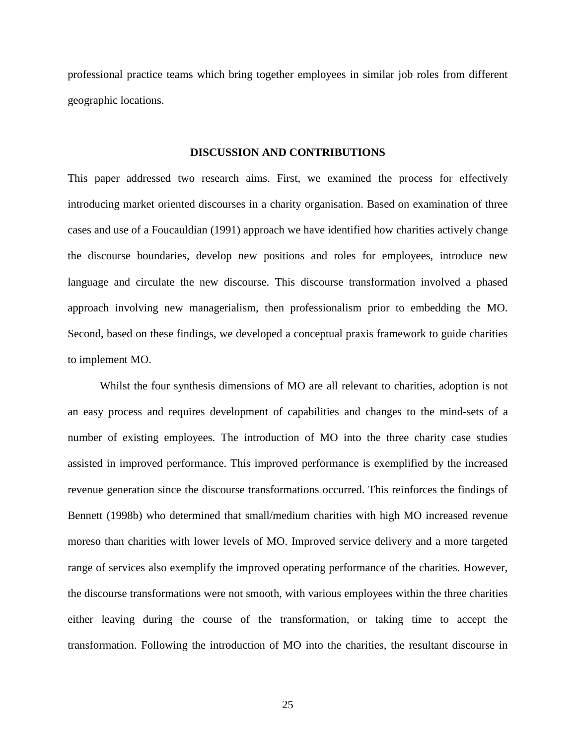professional practice teams which bring together employees in similar job roles from different geographic locations.

#### **DISCUSSION AND CONTRIBUTIONS**

This paper addressed two research aims. First, we examined the process for effectively introducing market oriented discourses in a charity organisation. Based on examination of three cases and use of a Foucauldian (1991) approach we have identified how charities actively change the discourse boundaries, develop new positions and roles for employees, introduce new language and circulate the new discourse. This discourse transformation involved a phased approach involving new managerialism, then professionalism prior to embedding the MO. Second, based on these findings, we developed a conceptual praxis framework to guide charities to implement MO.

Whilst the four synthesis dimensions of MO are all relevant to charities, adoption is not an easy process and requires development of capabilities and changes to the mind-sets of a number of existing employees. The introduction of MO into the three charity case studies assisted in improved performance. This improved performance is exemplified by the increased revenue generation since the discourse transformations occurred. This reinforces the findings of Bennett (1998b) who determined that small/medium charities with high MO increased revenue moreso than charities with lower levels of MO. Improved service delivery and a more targeted range of services also exemplify the improved operating performance of the charities. However, the discourse transformations were not smooth, with various employees within the three charities either leaving during the course of the transformation, or taking time to accept the transformation. Following the introduction of MO into the charities, the resultant discourse in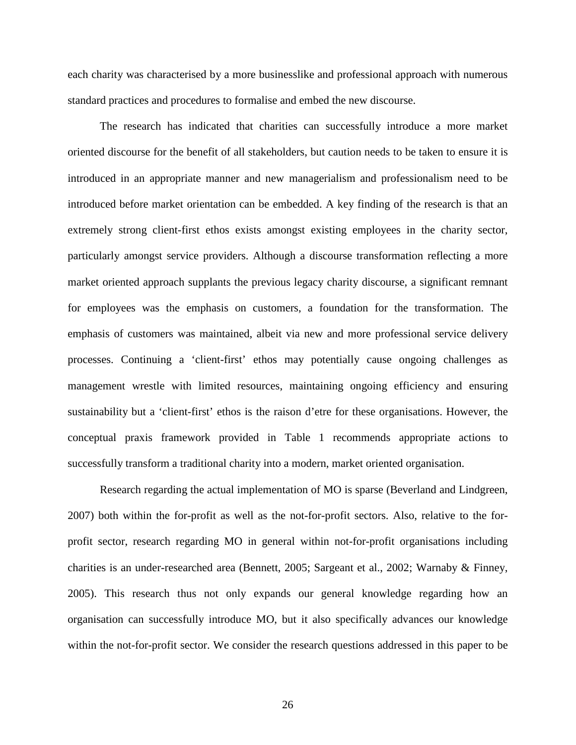each charity was characterised by a more businesslike and professional approach with numerous standard practices and procedures to formalise and embed the new discourse.

The research has indicated that charities can successfully introduce a more market oriented discourse for the benefit of all stakeholders, but caution needs to be taken to ensure it is introduced in an appropriate manner and new managerialism and professionalism need to be introduced before market orientation can be embedded. A key finding of the research is that an extremely strong client-first ethos exists amongst existing employees in the charity sector, particularly amongst service providers. Although a discourse transformation reflecting a more market oriented approach supplants the previous legacy charity discourse, a significant remnant for employees was the emphasis on customers, a foundation for the transformation. The emphasis of customers was maintained, albeit via new and more professional service delivery processes. Continuing a 'client-first' ethos may potentially cause ongoing challenges as management wrestle with limited resources, maintaining ongoing efficiency and ensuring sustainability but a 'client-first' ethos is the raison d'etre for these organisations. However, the conceptual praxis framework provided in Table 1 recommends appropriate actions to successfully transform a traditional charity into a modern, market oriented organisation.

Research regarding the actual implementation of MO is sparse (Beverland and Lindgreen, 2007) both within the for-profit as well as the not-for-profit sectors. Also, relative to the forprofit sector, research regarding MO in general within not-for-profit organisations including charities is an under-researched area (Bennett, 2005; Sargeant et al., 2002; Warnaby & Finney, 2005). This research thus not only expands our general knowledge regarding how an organisation can successfully introduce MO, but it also specifically advances our knowledge within the not-for-profit sector. We consider the research questions addressed in this paper to be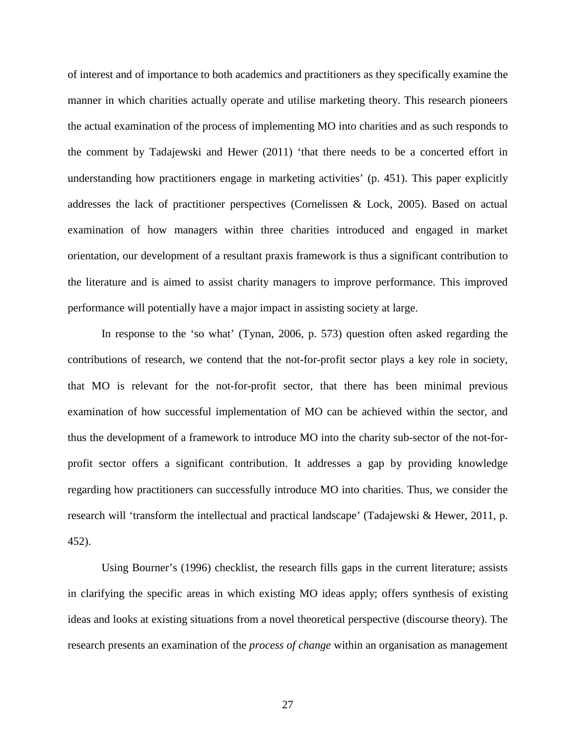of interest and of importance to both academics and practitioners as they specifically examine the manner in which charities actually operate and utilise marketing theory. This research pioneers the actual examination of the process of implementing MO into charities and as such responds to the comment by Tadajewski and Hewer (2011) 'that there needs to be a concerted effort in understanding how practitioners engage in marketing activities' (p. 451). This paper explicitly addresses the lack of practitioner perspectives (Cornelissen & Lock, 2005). Based on actual examination of how managers within three charities introduced and engaged in market orientation, our development of a resultant praxis framework is thus a significant contribution to the literature and is aimed to assist charity managers to improve performance. This improved performance will potentially have a major impact in assisting society at large.

In response to the 'so what' (Tynan, 2006, p. 573) question often asked regarding the contributions of research, we contend that the not-for-profit sector plays a key role in society, that MO is relevant for the not-for-profit sector, that there has been minimal previous examination of how successful implementation of MO can be achieved within the sector, and thus the development of a framework to introduce MO into the charity sub-sector of the not-forprofit sector offers a significant contribution. It addresses a gap by providing knowledge regarding how practitioners can successfully introduce MO into charities. Thus, we consider the research will 'transform the intellectual and practical landscape' (Tadajewski & Hewer, 2011, p. 452).

Using Bourner's (1996) checklist, the research fills gaps in the current literature; assists in clarifying the specific areas in which existing MO ideas apply; offers synthesis of existing ideas and looks at existing situations from a novel theoretical perspective (discourse theory). The research presents an examination of the *process of change* within an organisation as management

27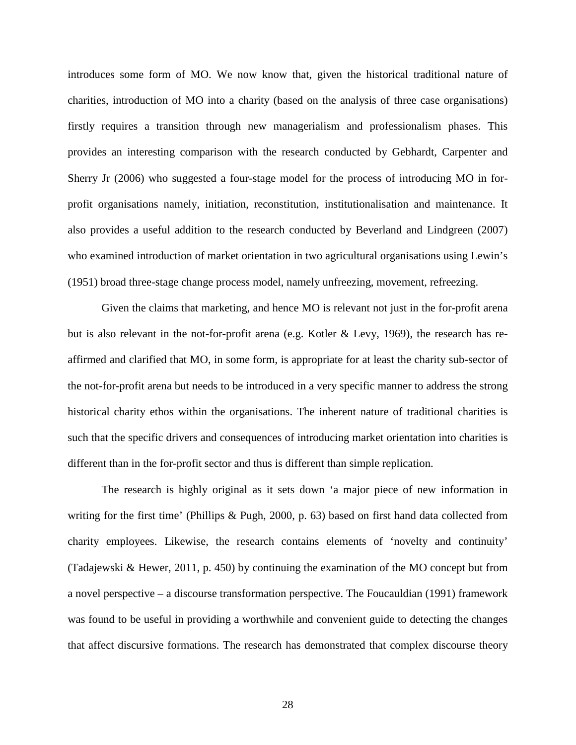introduces some form of MO. We now know that, given the historical traditional nature of charities, introduction of MO into a charity (based on the analysis of three case organisations) firstly requires a transition through new managerialism and professionalism phases. This provides an interesting comparison with the research conducted by Gebhardt, Carpenter and Sherry Jr (2006) who suggested a four-stage model for the process of introducing MO in forprofit organisations namely, initiation, reconstitution, institutionalisation and maintenance. It also provides a useful addition to the research conducted by Beverland and Lindgreen (2007) who examined introduction of market orientation in two agricultural organisations using Lewin's (1951) broad three-stage change process model, namely unfreezing, movement, refreezing.

Given the claims that marketing, and hence MO is relevant not just in the for-profit arena but is also relevant in the not-for-profit arena (e.g. Kotler & Levy, 1969), the research has reaffirmed and clarified that MO, in some form, is appropriate for at least the charity sub-sector of the not-for-profit arena but needs to be introduced in a very specific manner to address the strong historical charity ethos within the organisations. The inherent nature of traditional charities is such that the specific drivers and consequences of introducing market orientation into charities is different than in the for-profit sector and thus is different than simple replication.

The research is highly original as it sets down 'a major piece of new information in writing for the first time' (Phillips & Pugh, 2000, p. 63) based on first hand data collected from charity employees. Likewise, the research contains elements of 'novelty and continuity' (Tadajewski & Hewer, 2011, p. 450) by continuing the examination of the MO concept but from a novel perspective – a discourse transformation perspective. The Foucauldian (1991) framework was found to be useful in providing a worthwhile and convenient guide to detecting the changes that affect discursive formations. The research has demonstrated that complex discourse theory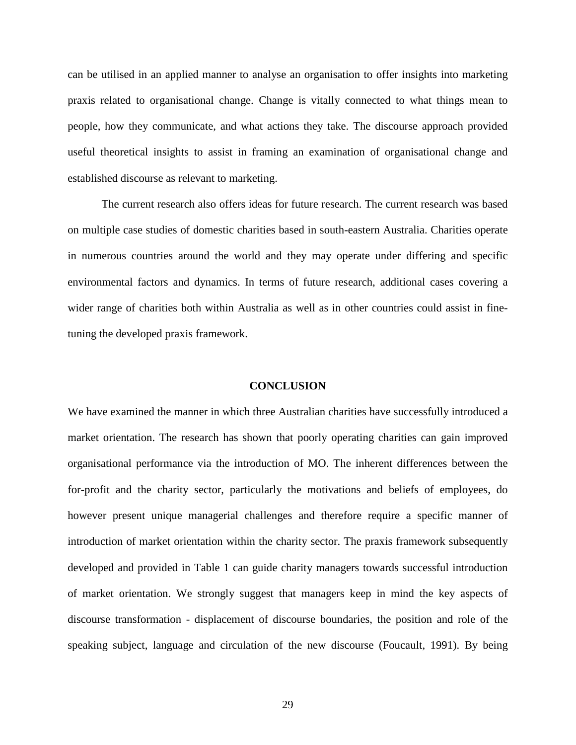can be utilised in an applied manner to analyse an organisation to offer insights into marketing praxis related to organisational change. Change is vitally connected to what things mean to people, how they communicate, and what actions they take. The discourse approach provided useful theoretical insights to assist in framing an examination of organisational change and established discourse as relevant to marketing.

The current research also offers ideas for future research. The current research was based on multiple case studies of domestic charities based in south-eastern Australia. Charities operate in numerous countries around the world and they may operate under differing and specific environmental factors and dynamics. In terms of future research, additional cases covering a wider range of charities both within Australia as well as in other countries could assist in finetuning the developed praxis framework.

## **CONCLUSION**

We have examined the manner in which three Australian charities have successfully introduced a market orientation. The research has shown that poorly operating charities can gain improved organisational performance via the introduction of MO. The inherent differences between the for-profit and the charity sector, particularly the motivations and beliefs of employees, do however present unique managerial challenges and therefore require a specific manner of introduction of market orientation within the charity sector. The praxis framework subsequently developed and provided in Table 1 can guide charity managers towards successful introduction of market orientation. We strongly suggest that managers keep in mind the key aspects of discourse transformation - displacement of discourse boundaries, the position and role of the speaking subject, language and circulation of the new discourse (Foucault, 1991). By being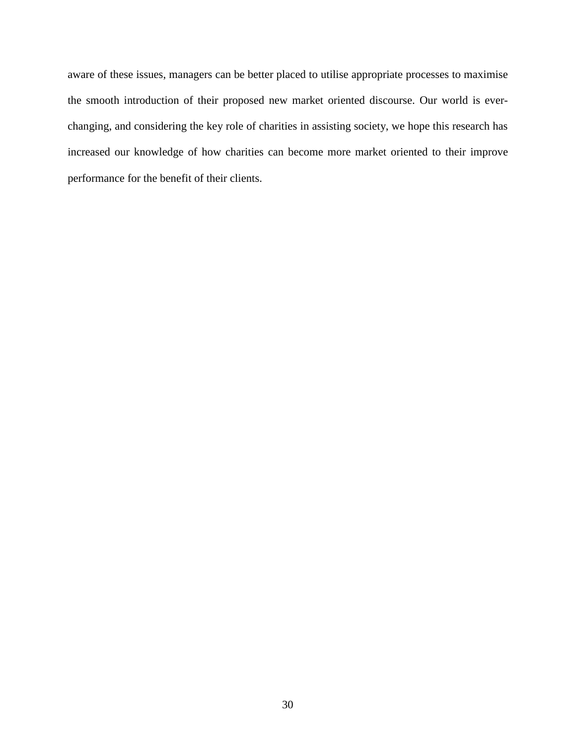aware of these issues, managers can be better placed to utilise appropriate processes to maximise the smooth introduction of their proposed new market oriented discourse. Our world is everchanging, and considering the key role of charities in assisting society, we hope this research has increased our knowledge of how charities can become more market oriented to their improve performance for the benefit of their clients.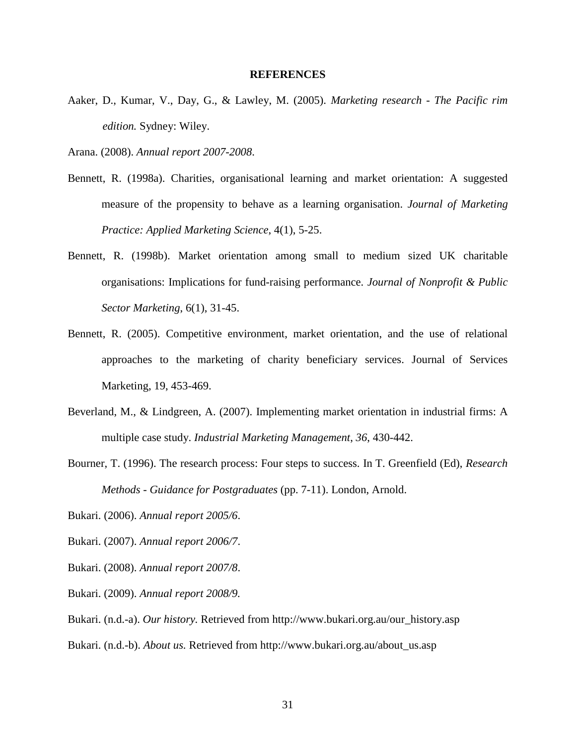#### **REFERENCES**

- Aaker, D., Kumar, V., Day, G., & Lawley, M. (2005). *Marketing research - The Pacific rim edition.* Sydney: Wiley.
- Arana. (2008). *Annual report 2007-2008*.
- Bennett, R. (1998a). Charities, organisational learning and market orientation: A suggested measure of the propensity to behave as a learning organisation. *Journal of Marketing Practice: Applied Marketing Science*, 4(1), 5-25.
- Bennett, R. (1998b). Market orientation among small to medium sized UK charitable organisations: Implications for fund-raising performance. *Journal of Nonprofit & Public Sector Marketing*, 6(1), 31-45.
- Bennett, R. (2005). Competitive environment, market orientation, and the use of relational approaches to the marketing of charity beneficiary services. Journal of Services Marketing, 19, 453-469.
- Beverland, M., & Lindgreen, A. (2007). Implementing market orientation in industrial firms: A multiple case study. *Industrial Marketing Management*, *36*, 430-442.
- Bourner, T. (1996). The research process: Four steps to success. In T. Greenfield (Ed), *Research Methods - Guidance for Postgraduates* (pp. 7-11). London, Arnold.
- Bukari. (2006). *Annual report 2005/6*.
- Bukari. (2007). *Annual report 2006/7*.
- Bukari. (2008). *Annual report 2007/8*.
- Bukari. (2009). *Annual report 2008/9.*
- Bukari. (n.d.-a). *Our history.* Retrieved from http:/[/www.bukari.org.au/our\\_history.asp](http://www.bukari.org.au/our_history.asp%3e)
- Bukari. (n.d.-b). *About us.* Retrieved from http:/[/www.bukari.org.au/about\\_us.asp](http://www.bukari.org.au/about_us.asp%3e)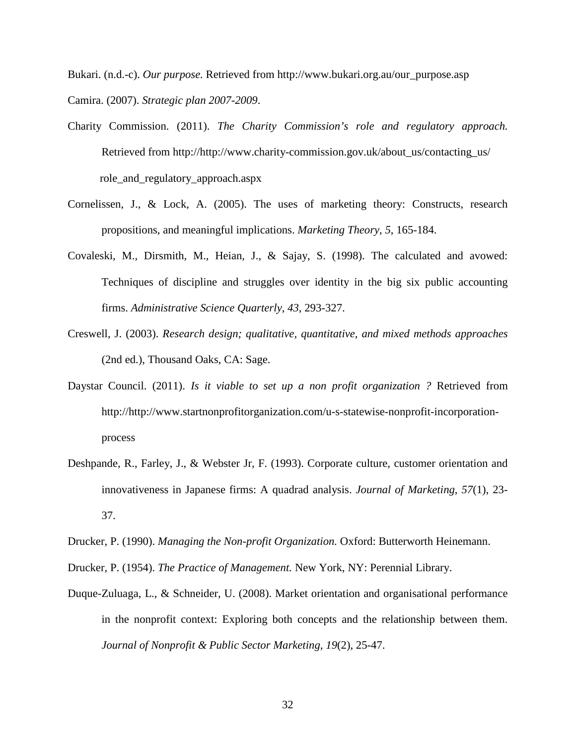Bukari. (n.d.-c). *Our purpose.* Retrieved from http:/[/www.bukari.org.au/our\\_purpose.asp](http://www.bukari.org.au/our_purpose.asp%3e) Camira. (2007). *Strategic plan 2007-2009*.

- Charity Commission. (2011). *The Charity Commission's role and regulatory approach.* Retrieved from http://http://www.charity-commission.gov.uk/about\_us/contacting\_us/ role\_and\_regulatory\_approach.aspx
- Cornelissen, J., & Lock, A. (2005). The uses of marketing theory: Constructs, research propositions, and meaningful implications. *Marketing Theory*, *5*, 165-184.
- Covaleski, M., Dirsmith, M., Heian, J., & Sajay, S. (1998). The calculated and avowed: Techniques of discipline and struggles over identity in the big six public accounting firms. *Administrative Science Quarterly*, *43*, 293-327.
- Creswell, J. (2003). *Research design; qualitative, quantitative, and mixed methods approaches*  (2nd ed.), Thousand Oaks, CA: Sage.
- Daystar Council. (2011). *Is it viable to set up a non profit organization ?* Retrieved from http:/[/http://www.startnonprofitorganization.com/u-s-statewise-nonprofit-incorporation](http://www.startnonprofitorganization.com/u-s-statewise-nonprofit-incorporation-process%3e)[process](http://www.startnonprofitorganization.com/u-s-statewise-nonprofit-incorporation-process%3e)
- Deshpande, R., Farley, J., & Webster Jr, F. (1993). Corporate culture, customer orientation and innovativeness in Japanese firms: A quadrad analysis. *Journal of Marketing*, *57*(1), 23- 37.
- Drucker, P. (1990). *Managing the Non-profit Organization.* Oxford: Butterworth Heinemann.

Drucker, P. (1954). *The Practice of Management.* New York, NY: Perennial Library.

Duque-Zuluaga, L., & Schneider, U. (2008). Market orientation and organisational performance in the nonprofit context: Exploring both concepts and the relationship between them. *Journal of Nonprofit & Public Sector Marketing, 19*(2), 25-47.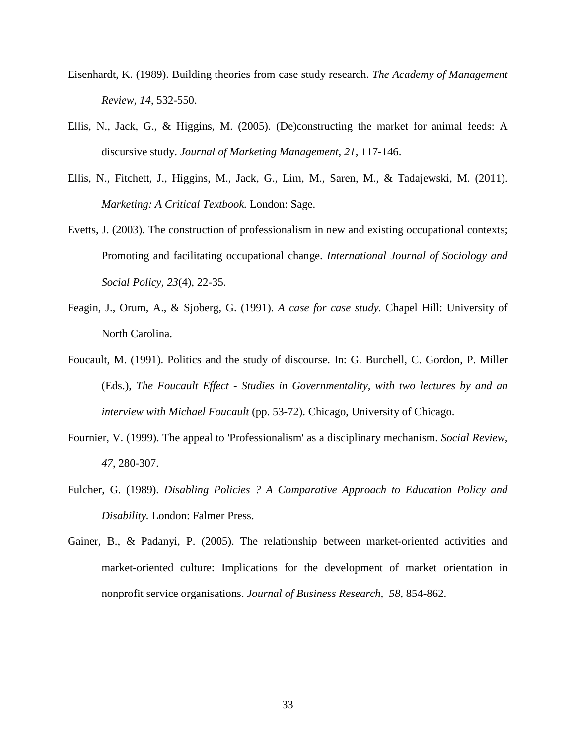- Eisenhardt, K. (1989). Building theories from case study research. *The Academy of Management Review, 14*, 532-550.
- Ellis, N., Jack, G., & Higgins, M. (2005). (De)constructing the market for animal feeds: A discursive study. *Journal of Marketing Management, 21*, 117-146.
- Ellis, N., Fitchett, J., Higgins, M., Jack, G., Lim, M., Saren, M., & Tadajewski, M. (2011). *Marketing: A Critical Textbook.* London: Sage.
- Evetts, J. (2003). The construction of professionalism in new and existing occupational contexts; Promoting and facilitating occupational change. *International Journal of Sociology and Social Policy, 23*(4), 22-35.
- Feagin, J., Orum, A., & Sjoberg, G. (1991). *A case for case study.* Chapel Hill: University of North Carolina.
- Foucault, M. (1991). Politics and the study of discourse. In: G. Burchell, C. Gordon, P. Miller (Eds.), *The Foucault Effect - Studies in Governmentality, with two lectures by and an interview with Michael Foucault* (pp. 53-72). Chicago, University of Chicago.
- Fournier, V. (1999). The appeal to 'Professionalism' as a disciplinary mechanism. *Social Review, 47*, 280-307.
- Fulcher, G. (1989). *Disabling Policies ? A Comparative Approach to Education Policy and Disability.* London: Falmer Press.
- Gainer, B., & Padanyi, P. (2005). The relationship between market-oriented activities and market-oriented culture: Implications for the development of market orientation in nonprofit service organisations. *Journal of Business Research, 58*, 854-862.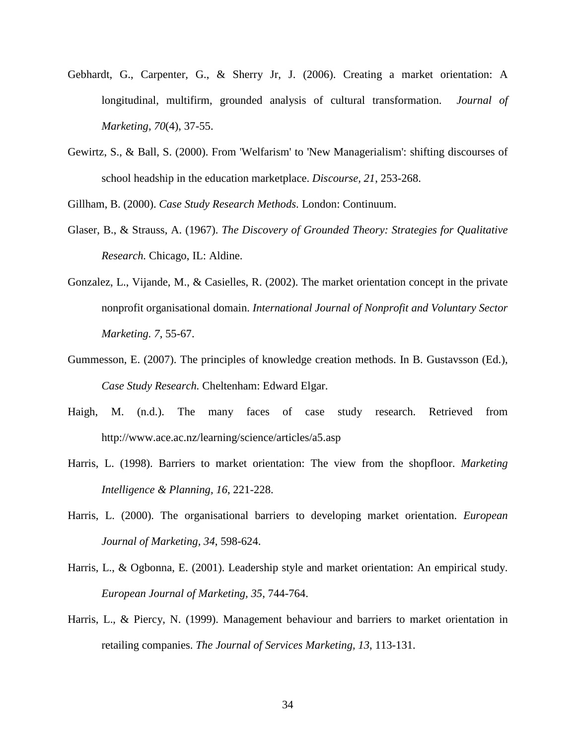- Gebhardt, G., Carpenter, G., & Sherry Jr, J. (2006). Creating a market orientation: A longitudinal, multifirm, grounded analysis of cultural transformation. *Journal of Marketing, 70*(4), 37-55.
- Gewirtz, S., & Ball, S. (2000). From 'Welfarism' to 'New Managerialism': shifting discourses of school headship in the education marketplace. *Discourse, 21*, 253-268.

Gillham, B. (2000). *Case Study Research Methods.* London: Continuum.

- Glaser, B., & Strauss, A. (1967). *The Discovery of Grounded Theory: Strategies for Qualitative Research.* Chicago, IL: Aldine.
- Gonzalez, L., Vijande, M., & Casielles, R. (2002). The market orientation concept in the private nonprofit organisational domain. *International Journal of Nonprofit and Voluntary Sector Marketing. 7*, 55-67.
- Gummesson, E. (2007). The principles of knowledge creation methods. In B. Gustavsson (Ed.), *Case Study Research.* Cheltenham: Edward Elgar.
- Haigh, M. (n.d.). The many faces of case study research. Retrieved from <http://www.ace.ac.nz/learning/science/articles/a5.asp>
- Harris, L. (1998). Barriers to market orientation: The view from the shopfloor. *Marketing Intelligence & Planning, 16*, 221-228.
- Harris, L. (2000). The organisational barriers to developing market orientation. *European Journal of Marketing, 34*, 598-624.
- Harris, L., & Ogbonna, E. (2001). Leadership style and market orientation: An empirical study. *European Journal of Marketing, 35*, 744-764.
- Harris, L., & Piercy, N. (1999). Management behaviour and barriers to market orientation in retailing companies. *The Journal of Services Marketing, 13*, 113-131.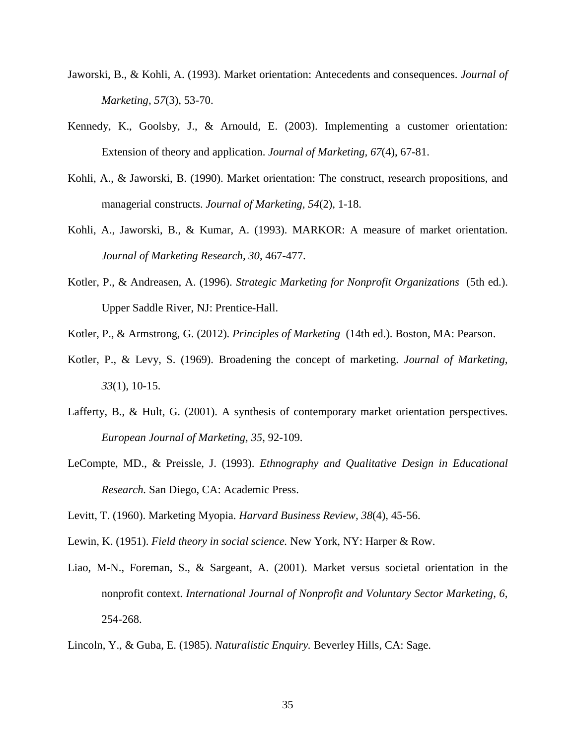- Jaworski, B., & Kohli, A. (1993). Market orientation: Antecedents and consequences. *Journal of Marketing, 57*(3), 53-70.
- Kennedy, K., Goolsby, J., & Arnould, E. (2003). Implementing a customer orientation: Extension of theory and application. *Journal of Marketing, 67*(4), 67-81.
- Kohli, A., & Jaworski, B. (1990). Market orientation: The construct, research propositions, and managerial constructs. *Journal of Marketing, 54*(2), 1-18.
- Kohli, A., Jaworski, B., & Kumar, A. (1993). MARKOR: A measure of market orientation. *Journal of Marketing Research, 30*, 467-477.
- Kotler, P., & Andreasen, A. (1996). *Strategic Marketing for Nonprofit Organizations* (5th ed.). Upper Saddle River, NJ: Prentice-Hall.
- Kotler, P., & Armstrong, G. (2012). *Principles of Marketing* (14th ed.). Boston, MA: Pearson.
- Kotler, P., & Levy, S. (1969). Broadening the concept of marketing. *Journal of Marketing, 33*(1), 10-15.
- Lafferty, B., & Hult, G. (2001). A synthesis of contemporary market orientation perspectives. *European Journal of Marketing, 35*, 92-109.
- LeCompte, MD., & Preissle, J. (1993). *Ethnography and Qualitative Design in Educational Research.* San Diego, CA: Academic Press.

Levitt, T. (1960). Marketing Myopia. *Harvard Business Review, 38*(4), 45-56.

Lewin, K. (1951). *Field theory in social science.* New York, NY: Harper & Row.

- Liao, M-N., Foreman, S., & Sargeant, A. (2001). Market versus societal orientation in the nonprofit context. *International Journal of Nonprofit and Voluntary Sector Marketing, 6*, 254-268.
- Lincoln, Y., & Guba, E. (1985). *Naturalistic Enquiry.* Beverley Hills, CA: Sage.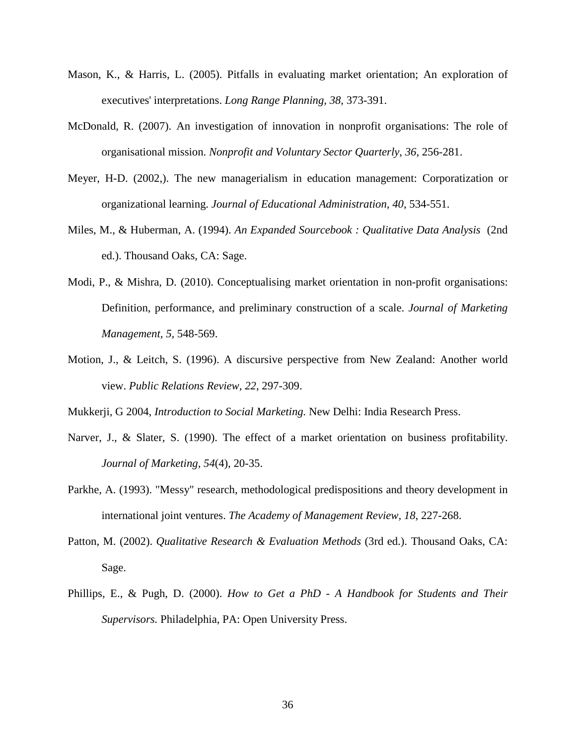- Mason, K., & Harris, L. (2005). Pitfalls in evaluating market orientation; An exploration of executives' interpretations. *Long Range Planning, 38*, 373-391.
- McDonald, R. (2007). An investigation of innovation in nonprofit organisations: The role of organisational mission. *Nonprofit and Voluntary Sector Quarterly*, *36*, 256-281.
- Meyer, H-D. (2002,). The new managerialism in education management: Corporatization or organizational learning. *Journal of Educational Administration, 40*, 534-551.
- Miles, M., & Huberman, A. (1994). *An Expanded Sourcebook : Qualitative Data Analysis* (2nd ed.). Thousand Oaks, CA: Sage.
- Modi, P., & Mishra, D. (2010). Conceptualising market orientation in non-profit organisations: Definition, performance, and preliminary construction of a scale. *Journal of Marketing Management, 5,* 548-569.
- Motion, J., & Leitch, S. (1996). A discursive perspective from New Zealand: Another world view. *Public Relations Review, 22*, 297-309.

Mukkerji, G 2004, *Introduction to Social Marketing.* New Delhi: India Research Press.

- Narver, J., & Slater, S. (1990). The effect of a market orientation on business profitability. *Journal of Marketing, 54*(4), 20-35.
- Parkhe, A. (1993). "Messy" research, methodological predispositions and theory development in international joint ventures. *The Academy of Management Review, 18*, 227-268.
- Patton, M. (2002). *Qualitative Research & Evaluation Methods* (3rd ed.). Thousand Oaks, CA: Sage.
- Phillips, E., & Pugh, D. (2000). *How to Get a PhD - A Handbook for Students and Their Supervisors.* Philadelphia, PA: Open University Press.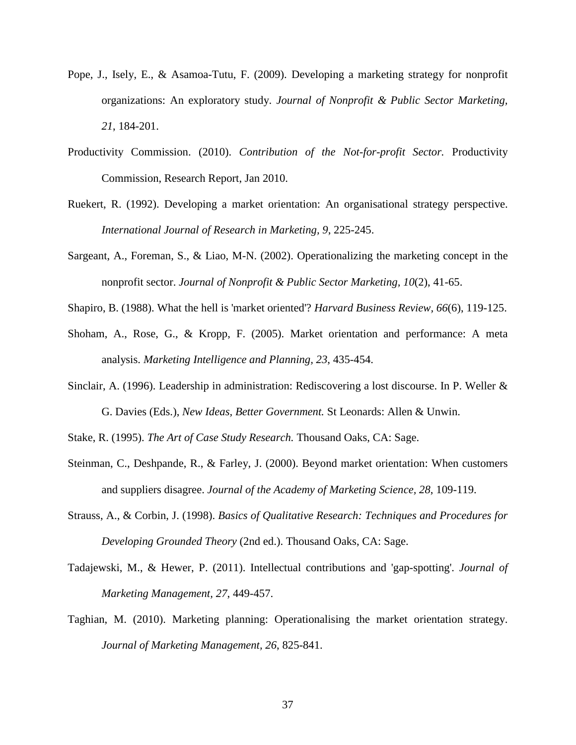- Pope, J., Isely, E., & Asamoa-Tutu, F. (2009). Developing a marketing strategy for nonprofit organizations: An exploratory study. *Journal of Nonprofit & Public Sector Marketing, 21*, 184-201.
- Productivity Commission. (2010). *Contribution of the Not-for-profit Sector.* Productivity Commission, Research Report, Jan 2010.
- Ruekert, R. (1992). Developing a market orientation: An organisational strategy perspective. *International Journal of Research in Marketing, 9*, 225-245.
- Sargeant, A., Foreman, S., & Liao, M-N. (2002). Operationalizing the marketing concept in the nonprofit sector. *Journal of Nonprofit & Public Sector Marketing, 10*(2), 41-65.
- Shapiro, B. (1988). What the hell is 'market oriented'? *Harvard Business Review, 66*(6), 119-125.
- Shoham, A., Rose, G., & Kropp, F. (2005). Market orientation and performance: A meta analysis. *Marketing Intelligence and Planning, 23*, 435-454.
- Sinclair, A. (1996). Leadership in administration: Rediscovering a lost discourse. In P. Weller & G. Davies (Eds.), *New Ideas, Better Government.* St Leonards: Allen & Unwin.
- Stake, R. (1995). *The Art of Case Study Research.* Thousand Oaks, CA: Sage.
- Steinman, C., Deshpande, R., & Farley, J. (2000). Beyond market orientation: When customers and suppliers disagree. *Journal of the Academy of Marketing Science, 28*, 109-119.
- Strauss, A., & Corbin, J. (1998). *Basics of Qualitative Research: Techniques and Procedures for Developing Grounded Theory* (2nd ed.). Thousand Oaks, CA: Sage.
- Tadajewski, M., & Hewer, P. (2011). Intellectual contributions and 'gap-spotting'. *Journal of Marketing Management, 27*, 449-457.
- Taghian, M. (2010). Marketing planning: Operationalising the market orientation strategy. *Journal of Marketing Management, 26*, 825-841.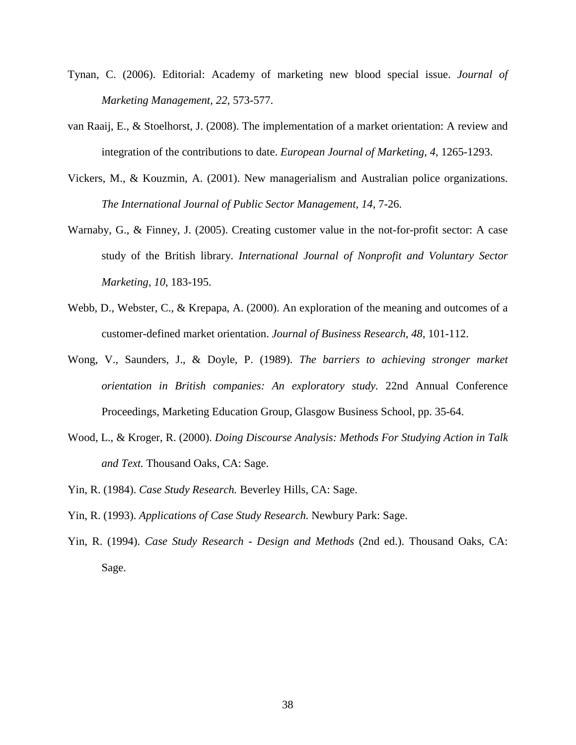- Tynan, C. (2006). Editorial: Academy of marketing new blood special issue. *Journal of Marketing Management, 22*, 573-577.
- van Raaij, E., & Stoelhorst, J. (2008). The implementation of a market orientation: A review and integration of the contributions to date. *European Journal of Marketing, 4*, 1265-1293.
- Vickers, M., & Kouzmin, A. (2001). New managerialism and Australian police organizations. *The International Journal of Public Sector Management, 14*, 7-26.
- Warnaby, G., & Finney, J. (2005). Creating customer value in the not-for-profit sector: A case study of the British library. *International Journal of Nonprofit and Voluntary Sector Marketing, 10*, 183-195.
- Webb, D., Webster, C., & Krepapa, A. (2000). An exploration of the meaning and outcomes of a customer-defined market orientation. *Journal of Business Research, 48*, 101-112.
- Wong, V., Saunders, J., & Doyle, P. (1989). *The barriers to achieving stronger market orientation in British companies: An exploratory study.* 22nd Annual Conference Proceedings, Marketing Education Group, Glasgow Business School, pp. 35-64.
- Wood, L., & Kroger, R. (2000). *Doing Discourse Analysis: Methods For Studying Action in Talk and Text.* Thousand Oaks, CA: Sage.
- Yin, R. (1984). *Case Study Research.* Beverley Hills, CA: Sage.
- Yin, R. (1993). *Applications of Case Study Research.* Newbury Park: Sage.
- Yin, R. (1994). *Case Study Research - Design and Methods* (2nd ed.). Thousand Oaks, CA: Sage.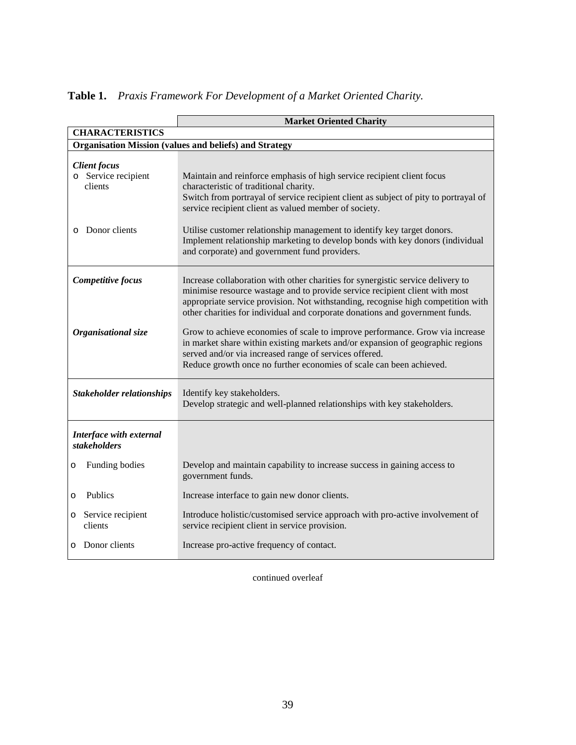|                                                               | <b>Market Oriented Charity</b>                                                                                                                                                                                                                                                                                                     |  |  |  |  |
|---------------------------------------------------------------|------------------------------------------------------------------------------------------------------------------------------------------------------------------------------------------------------------------------------------------------------------------------------------------------------------------------------------|--|--|--|--|
| <b>CHARACTERISTICS</b>                                        |                                                                                                                                                                                                                                                                                                                                    |  |  |  |  |
| <b>Organisation Mission (values and beliefs) and Strategy</b> |                                                                                                                                                                                                                                                                                                                                    |  |  |  |  |
| <b>Client focus</b><br>o Service recipient<br>clients         | Maintain and reinforce emphasis of high service recipient client focus<br>characteristic of traditional charity.<br>Switch from portrayal of service recipient client as subject of pity to portrayal of<br>service recipient client as valued member of society.                                                                  |  |  |  |  |
| Donor clients<br>$\circ$                                      | Utilise customer relationship management to identify key target donors.<br>Implement relationship marketing to develop bonds with key donors (individual<br>and corporate) and government fund providers.                                                                                                                          |  |  |  |  |
| Competitive focus                                             | Increase collaboration with other charities for synergistic service delivery to<br>minimise resource wastage and to provide service recipient client with most<br>appropriate service provision. Not withstanding, recognise high competition with<br>other charities for individual and corporate donations and government funds. |  |  |  |  |
| Organisational size                                           | Grow to achieve economies of scale to improve performance. Grow via increase<br>in market share within existing markets and/or expansion of geographic regions<br>served and/or via increased range of services offered.<br>Reduce growth once no further economies of scale can been achieved.                                    |  |  |  |  |
| <b>Stakeholder relationships</b>                              | Identify key stakeholders.<br>Develop strategic and well-planned relationships with key stakeholders.                                                                                                                                                                                                                              |  |  |  |  |
| Interface with external<br><i>stakeholders</i>                |                                                                                                                                                                                                                                                                                                                                    |  |  |  |  |
| Funding bodies<br>O                                           | Develop and maintain capability to increase success in gaining access to<br>government funds.                                                                                                                                                                                                                                      |  |  |  |  |
| Publics<br>$\circ$                                            | Increase interface to gain new donor clients.                                                                                                                                                                                                                                                                                      |  |  |  |  |
| Service recipient<br>O<br>clients                             | Introduce holistic/customised service approach with pro-active involvement of<br>service recipient client in service provision.                                                                                                                                                                                                    |  |  |  |  |
| o Donor clients                                               | Increase pro-active frequency of contact.                                                                                                                                                                                                                                                                                          |  |  |  |  |

# **Table 1.** *Praxis Framework For Development of a Market Oriented Charity.*

continued overleaf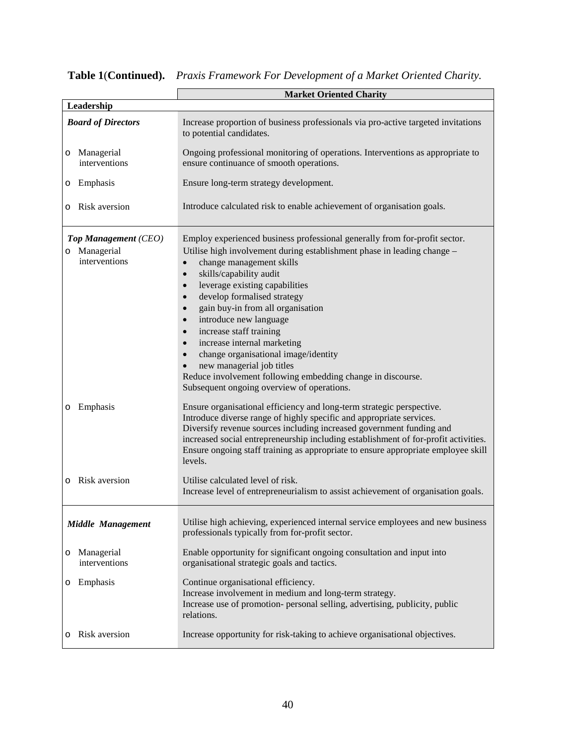|                                                       | <b>Market Oriented Charity</b>                                                                                                                                                                                                                                                                                                                                                                                                                                                                                                                                                                                                                                                                   |  |  |  |
|-------------------------------------------------------|--------------------------------------------------------------------------------------------------------------------------------------------------------------------------------------------------------------------------------------------------------------------------------------------------------------------------------------------------------------------------------------------------------------------------------------------------------------------------------------------------------------------------------------------------------------------------------------------------------------------------------------------------------------------------------------------------|--|--|--|
| Leadership                                            |                                                                                                                                                                                                                                                                                                                                                                                                                                                                                                                                                                                                                                                                                                  |  |  |  |
| <b>Board of Directors</b>                             | Increase proportion of business professionals via pro-active targeted invitations<br>to potential candidates.                                                                                                                                                                                                                                                                                                                                                                                                                                                                                                                                                                                    |  |  |  |
| Managerial<br>O<br>interventions                      | Ongoing professional monitoring of operations. Interventions as appropriate to<br>ensure continuance of smooth operations.                                                                                                                                                                                                                                                                                                                                                                                                                                                                                                                                                                       |  |  |  |
| Emphasis<br>O                                         | Ensure long-term strategy development.                                                                                                                                                                                                                                                                                                                                                                                                                                                                                                                                                                                                                                                           |  |  |  |
| Risk aversion<br>O                                    | Introduce calculated risk to enable achievement of organisation goals.                                                                                                                                                                                                                                                                                                                                                                                                                                                                                                                                                                                                                           |  |  |  |
| Top Management (CEO)<br>o Managerial<br>interventions | Employ experienced business professional generally from for-profit sector.<br>Utilise high involvement during establishment phase in leading change -<br>change management skills<br>$\bullet$<br>skills/capability audit<br>$\bullet$<br>leverage existing capabilities<br>$\bullet$<br>develop formalised strategy<br>$\bullet$<br>gain buy-in from all organisation<br>$\bullet$<br>introduce new language<br>$\bullet$<br>increase staff training<br>$\bullet$<br>increase internal marketing<br>$\bullet$<br>change organisational image/identity<br>new managerial job titles<br>Reduce involvement following embedding change in discourse.<br>Subsequent ongoing overview of operations. |  |  |  |
| Emphasis<br>O                                         | Ensure organisational efficiency and long-term strategic perspective.<br>Introduce diverse range of highly specific and appropriate services.<br>Diversify revenue sources including increased government funding and<br>increased social entrepreneurship including establishment of for-profit activities.<br>Ensure ongoing staff training as appropriate to ensure appropriate employee skill<br>levels.                                                                                                                                                                                                                                                                                     |  |  |  |
| Risk aversion                                         | Utilise calculated level of risk.<br>Increase level of entrepreneurialism to assist achievement of organisation goals.                                                                                                                                                                                                                                                                                                                                                                                                                                                                                                                                                                           |  |  |  |
| <b>Middle Management</b>                              | Utilise high achieving, experienced internal service employees and new business<br>professionals typically from for-profit sector.                                                                                                                                                                                                                                                                                                                                                                                                                                                                                                                                                               |  |  |  |
| Managerial<br>O<br>interventions                      | Enable opportunity for significant ongoing consultation and input into<br>organisational strategic goals and tactics.                                                                                                                                                                                                                                                                                                                                                                                                                                                                                                                                                                            |  |  |  |
| Emphasis<br>O                                         | Continue organisational efficiency.<br>Increase involvement in medium and long-term strategy.<br>Increase use of promotion- personal selling, advertising, publicity, public<br>relations.                                                                                                                                                                                                                                                                                                                                                                                                                                                                                                       |  |  |  |
| Risk aversion                                         | Increase opportunity for risk-taking to achieve organisational objectives.                                                                                                                                                                                                                                                                                                                                                                                                                                                                                                                                                                                                                       |  |  |  |

# **Table 1**(**Continued).** *Praxis Framework For Development of a Market Oriented Charity.*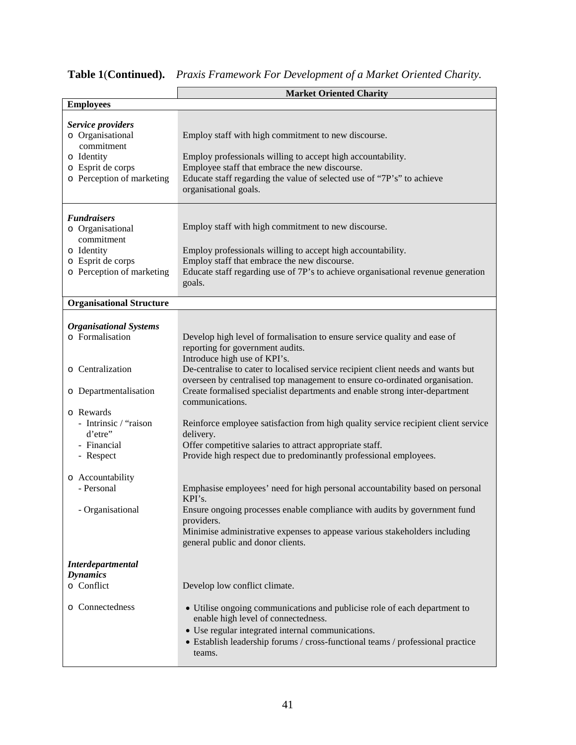|                                                                                                                                                                                                                                  | <b>Market Oriented Charity</b>                                                                                                                                                                                                                                                                                                                                                                                                                                                                                                                                                                                                                                                                                                                                                                                                                                                                                            |  |  |
|----------------------------------------------------------------------------------------------------------------------------------------------------------------------------------------------------------------------------------|---------------------------------------------------------------------------------------------------------------------------------------------------------------------------------------------------------------------------------------------------------------------------------------------------------------------------------------------------------------------------------------------------------------------------------------------------------------------------------------------------------------------------------------------------------------------------------------------------------------------------------------------------------------------------------------------------------------------------------------------------------------------------------------------------------------------------------------------------------------------------------------------------------------------------|--|--|
| <b>Employees</b>                                                                                                                                                                                                                 |                                                                                                                                                                                                                                                                                                                                                                                                                                                                                                                                                                                                                                                                                                                                                                                                                                                                                                                           |  |  |
| Service providers<br>o Organisational<br>commitment<br>o Identity<br>o Esprit de corps<br>o Perception of marketing                                                                                                              | Employ staff with high commitment to new discourse.<br>Employ professionals willing to accept high accountability.<br>Employee staff that embrace the new discourse.<br>Educate staff regarding the value of selected use of "7P's" to achieve<br>organisational goals.                                                                                                                                                                                                                                                                                                                                                                                                                                                                                                                                                                                                                                                   |  |  |
| <b>Fundraisers</b><br>o Organisational<br>commitment<br>o Identity<br>o Esprit de corps<br>o Perception of marketing                                                                                                             | Employ staff with high commitment to new discourse.<br>Employ professionals willing to accept high accountability.<br>Employ staff that embrace the new discourse.<br>Educate staff regarding use of 7P's to achieve organisational revenue generation<br>goals.                                                                                                                                                                                                                                                                                                                                                                                                                                                                                                                                                                                                                                                          |  |  |
| <b>Organisational Structure</b>                                                                                                                                                                                                  |                                                                                                                                                                                                                                                                                                                                                                                                                                                                                                                                                                                                                                                                                                                                                                                                                                                                                                                           |  |  |
| <b>Organisational Systems</b><br>o Formalisation<br>o Centralization<br>o Departmentalisation<br>o Rewards<br>- Intrinsic / "raison<br>d'etre"<br>- Financial<br>- Respect<br>o Accountability<br>- Personal<br>- Organisational | Develop high level of formalisation to ensure service quality and ease of<br>reporting for government audits.<br>Introduce high use of KPI's.<br>De-centralise to cater to localised service recipient client needs and wants but<br>overseen by centralised top management to ensure co-ordinated organisation.<br>Create formalised specialist departments and enable strong inter-department<br>communications.<br>Reinforce employee satisfaction from high quality service recipient client service<br>delivery.<br>Offer competitive salaries to attract appropriate staff.<br>Provide high respect due to predominantly professional employees.<br>Emphasise employees' need for high personal accountability based on personal<br>KPI's.<br>Ensure ongoing processes enable compliance with audits by government fund<br>providers.<br>Minimise administrative expenses to appease various stakeholders including |  |  |
| <b>Interdepartmental</b><br><b>Dynamics</b><br>o Conflict<br>o Connectedness                                                                                                                                                     | general public and donor clients.<br>Develop low conflict climate.<br>• Utilise ongoing communications and publicise role of each department to<br>enable high level of connectedness.<br>• Use regular integrated internal communications.<br>• Establish leadership forums / cross-functional teams / professional practice<br>teams.                                                                                                                                                                                                                                                                                                                                                                                                                                                                                                                                                                                   |  |  |

**Table 1**(**Continued).** *Praxis Framework For Development of a Market Oriented Charity.*